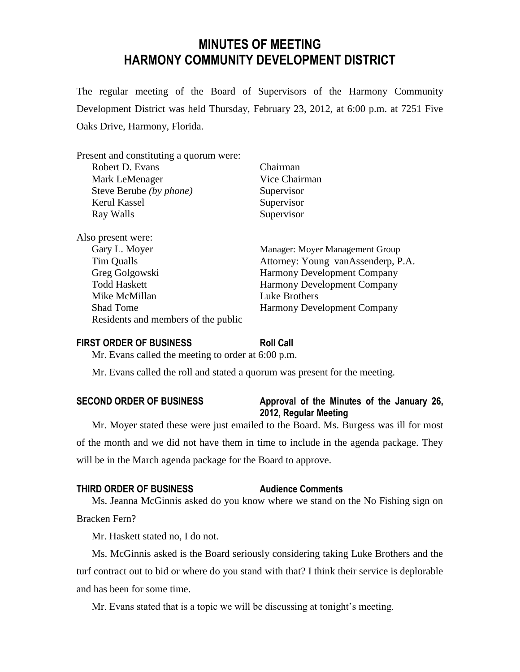## **MINUTES OF MEETING HARMONY COMMUNITY DEVELOPMENT DISTRICT**

The regular meeting of the Board of Supervisors of the Harmony Community Development District was held Thursday, February 23, 2012, at 6:00 p.m. at 7251 Five Oaks Drive, Harmony, Florida.

| Present and constituting a quorum were: |                                    |
|-----------------------------------------|------------------------------------|
| Robert D. Evans                         | Chairman                           |
| Mark LeMenager                          | Vice Chairman                      |
| Steve Berube (by phone)                 | Supervisor                         |
| Kerul Kassel                            | Supervisor                         |
| Ray Walls                               | Supervisor                         |
| Also present were:<br>Gary L. Moyer     | Manager: Moyer Management Group    |
| Tim Qualls                              | Attorney: Young vanAssenderp, P.A. |
| Greg Golgowski                          | <b>Harmony Development Company</b> |
| <b>Todd Haskett</b>                     | <b>Harmony Development Company</b> |
| Mike McMillan                           | Luke Brothers                      |
| <b>Shad Tome</b>                        | <b>Harmony Development Company</b> |
| Residents and members of the public     |                                    |

### **FIRST ORDER OF BUSINESS Roll Call**

Mr. Evans called the meeting to order at 6:00 p.m.

Mr. Evans called the roll and stated a quorum was present for the meeting.

### **SECOND ORDER OF BUSINESS Approval of the Minutes of the January 26, 2012, Regular Meeting**

Mr. Moyer stated these were just emailed to the Board. Ms. Burgess was ill for most of the month and we did not have them in time to include in the agenda package. They will be in the March agenda package for the Board to approve.

### **THIRD ORDER OF BUSINESS Audience Comments**

Ms. Jeanna McGinnis asked do you know where we stand on the No Fishing sign on Bracken Fern?

Mr. Haskett stated no, I do not.

Ms. McGinnis asked is the Board seriously considering taking Luke Brothers and the turf contract out to bid or where do you stand with that? I think their service is deplorable and has been for some time.

Mr. Evans stated that is a topic we will be discussing at tonight's meeting.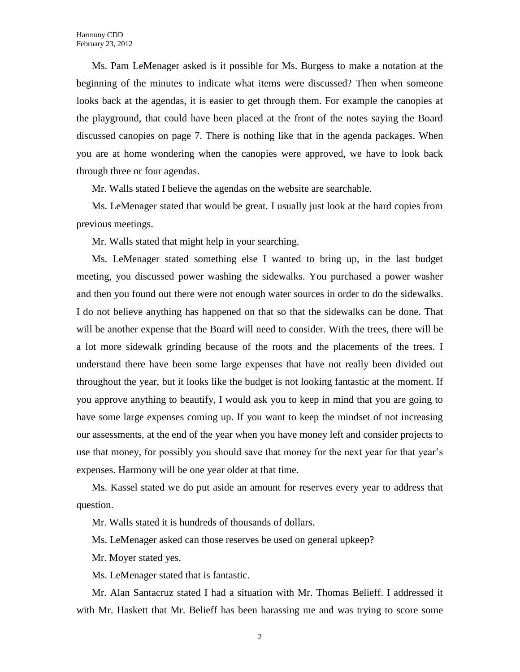Ms. Pam LeMenager asked is it possible for Ms. Burgess to make a notation at the beginning of the minutes to indicate what items were discussed? Then when someone looks back at the agendas, it is easier to get through them. For example the canopies at the playground, that could have been placed at the front of the notes saying the Board discussed canopies on page 7. There is nothing like that in the agenda packages. When you are at home wondering when the canopies were approved, we have to look back through three or four agendas.

Mr. Walls stated I believe the agendas on the website are searchable.

Ms. LeMenager stated that would be great. I usually just look at the hard copies from previous meetings.

Mr. Walls stated that might help in your searching.

Ms. LeMenager stated something else I wanted to bring up, in the last budget meeting, you discussed power washing the sidewalks. You purchased a power washer and then you found out there were not enough water sources in order to do the sidewalks. I do not believe anything has happened on that so that the sidewalks can be done. That will be another expense that the Board will need to consider. With the trees, there will be a lot more sidewalk grinding because of the roots and the placements of the trees. I understand there have been some large expenses that have not really been divided out throughout the year, but it looks like the budget is not looking fantastic at the moment. If you approve anything to beautify, I would ask you to keep in mind that you are going to have some large expenses coming up. If you want to keep the mindset of not increasing our assessments, at the end of the year when you have money left and consider projects to use that money, for possibly you should save that money for the next year for that year's expenses. Harmony will be one year older at that time.

Ms. Kassel stated we do put aside an amount for reserves every year to address that question.

Mr. Walls stated it is hundreds of thousands of dollars.

Ms. LeMenager asked can those reserves be used on general upkeep?

Mr. Moyer stated yes.

Ms. LeMenager stated that is fantastic.

Mr. Alan Santacruz stated I had a situation with Mr. Thomas Belieff. I addressed it with Mr. Haskett that Mr. Belieff has been harassing me and was trying to score some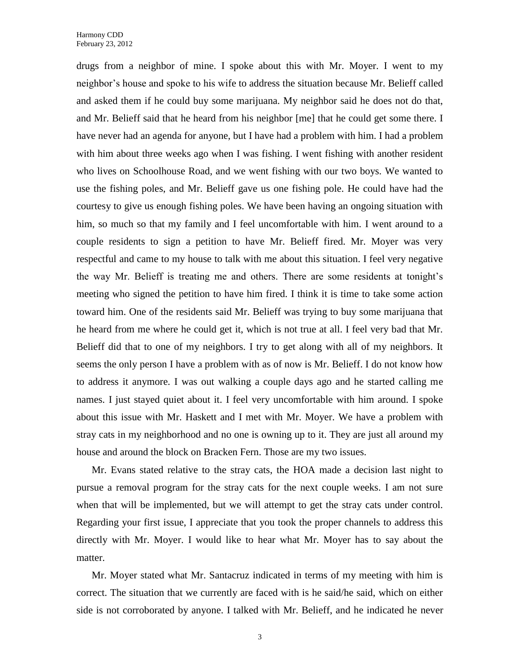drugs from a neighbor of mine. I spoke about this with Mr. Moyer. I went to my neighbor's house and spoke to his wife to address the situation because Mr. Belieff called and asked them if he could buy some marijuana. My neighbor said he does not do that, and Mr. Belieff said that he heard from his neighbor [me] that he could get some there. I have never had an agenda for anyone, but I have had a problem with him. I had a problem with him about three weeks ago when I was fishing. I went fishing with another resident who lives on Schoolhouse Road, and we went fishing with our two boys. We wanted to use the fishing poles, and Mr. Belieff gave us one fishing pole. He could have had the courtesy to give us enough fishing poles. We have been having an ongoing situation with him, so much so that my family and I feel uncomfortable with him. I went around to a couple residents to sign a petition to have Mr. Belieff fired. Mr. Moyer was very respectful and came to my house to talk with me about this situation. I feel very negative the way Mr. Belieff is treating me and others. There are some residents at tonight's meeting who signed the petition to have him fired. I think it is time to take some action toward him. One of the residents said Mr. Belieff was trying to buy some marijuana that he heard from me where he could get it, which is not true at all. I feel very bad that Mr. Belieff did that to one of my neighbors. I try to get along with all of my neighbors. It seems the only person I have a problem with as of now is Mr. Belieff. I do not know how to address it anymore. I was out walking a couple days ago and he started calling me names. I just stayed quiet about it. I feel very uncomfortable with him around. I spoke about this issue with Mr. Haskett and I met with Mr. Moyer. We have a problem with stray cats in my neighborhood and no one is owning up to it. They are just all around my house and around the block on Bracken Fern. Those are my two issues.

Mr. Evans stated relative to the stray cats, the HOA made a decision last night to pursue a removal program for the stray cats for the next couple weeks. I am not sure when that will be implemented, but we will attempt to get the stray cats under control. Regarding your first issue, I appreciate that you took the proper channels to address this directly with Mr. Moyer. I would like to hear what Mr. Moyer has to say about the matter.

Mr. Moyer stated what Mr. Santacruz indicated in terms of my meeting with him is correct. The situation that we currently are faced with is he said/he said, which on either side is not corroborated by anyone. I talked with Mr. Belieff, and he indicated he never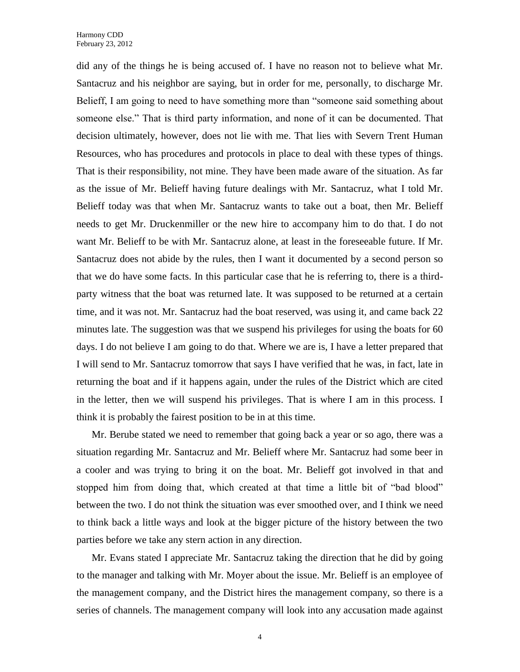did any of the things he is being accused of. I have no reason not to believe what Mr. Santacruz and his neighbor are saying, but in order for me, personally, to discharge Mr. Belieff, I am going to need to have something more than "someone said something about someone else." That is third party information, and none of it can be documented. That decision ultimately, however, does not lie with me. That lies with Severn Trent Human Resources, who has procedures and protocols in place to deal with these types of things. That is their responsibility, not mine. They have been made aware of the situation. As far as the issue of Mr. Belieff having future dealings with Mr. Santacruz, what I told Mr. Belieff today was that when Mr. Santacruz wants to take out a boat, then Mr. Belieff needs to get Mr. Druckenmiller or the new hire to accompany him to do that. I do not want Mr. Belieff to be with Mr. Santacruz alone, at least in the foreseeable future. If Mr. Santacruz does not abide by the rules, then I want it documented by a second person so that we do have some facts. In this particular case that he is referring to, there is a thirdparty witness that the boat was returned late. It was supposed to be returned at a certain time, and it was not. Mr. Santacruz had the boat reserved, was using it, and came back 22 minutes late. The suggestion was that we suspend his privileges for using the boats for 60 days. I do not believe I am going to do that. Where we are is, I have a letter prepared that I will send to Mr. Santacruz tomorrow that says I have verified that he was, in fact, late in returning the boat and if it happens again, under the rules of the District which are cited in the letter, then we will suspend his privileges. That is where I am in this process. I think it is probably the fairest position to be in at this time.

Mr. Berube stated we need to remember that going back a year or so ago, there was a situation regarding Mr. Santacruz and Mr. Belieff where Mr. Santacruz had some beer in a cooler and was trying to bring it on the boat. Mr. Belieff got involved in that and stopped him from doing that, which created at that time a little bit of "bad blood" between the two. I do not think the situation was ever smoothed over, and I think we need to think back a little ways and look at the bigger picture of the history between the two parties before we take any stern action in any direction.

Mr. Evans stated I appreciate Mr. Santacruz taking the direction that he did by going to the manager and talking with Mr. Moyer about the issue. Mr. Belieff is an employee of the management company, and the District hires the management company, so there is a series of channels. The management company will look into any accusation made against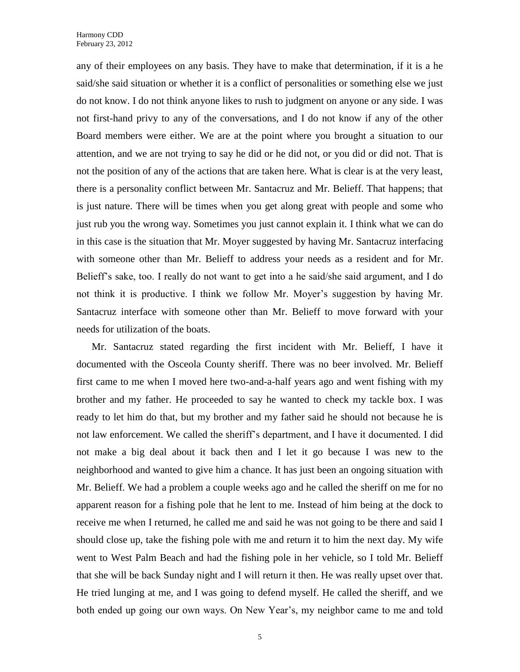any of their employees on any basis. They have to make that determination, if it is a he said/she said situation or whether it is a conflict of personalities or something else we just do not know. I do not think anyone likes to rush to judgment on anyone or any side. I was not first-hand privy to any of the conversations, and I do not know if any of the other Board members were either. We are at the point where you brought a situation to our attention, and we are not trying to say he did or he did not, or you did or did not. That is not the position of any of the actions that are taken here. What is clear is at the very least, there is a personality conflict between Mr. Santacruz and Mr. Belieff. That happens; that is just nature. There will be times when you get along great with people and some who just rub you the wrong way. Sometimes you just cannot explain it. I think what we can do in this case is the situation that Mr. Moyer suggested by having Mr. Santacruz interfacing with someone other than Mr. Belieff to address your needs as a resident and for Mr. Belieff's sake, too. I really do not want to get into a he said/she said argument, and I do not think it is productive. I think we follow Mr. Moyer's suggestion by having Mr. Santacruz interface with someone other than Mr. Belieff to move forward with your needs for utilization of the boats.

Mr. Santacruz stated regarding the first incident with Mr. Belieff, I have it documented with the Osceola County sheriff. There was no beer involved. Mr. Belieff first came to me when I moved here two-and-a-half years ago and went fishing with my brother and my father. He proceeded to say he wanted to check my tackle box. I was ready to let him do that, but my brother and my father said he should not because he is not law enforcement. We called the sheriff's department, and I have it documented. I did not make a big deal about it back then and I let it go because I was new to the neighborhood and wanted to give him a chance. It has just been an ongoing situation with Mr. Belieff. We had a problem a couple weeks ago and he called the sheriff on me for no apparent reason for a fishing pole that he lent to me. Instead of him being at the dock to receive me when I returned, he called me and said he was not going to be there and said I should close up, take the fishing pole with me and return it to him the next day. My wife went to West Palm Beach and had the fishing pole in her vehicle, so I told Mr. Belieff that she will be back Sunday night and I will return it then. He was really upset over that. He tried lunging at me, and I was going to defend myself. He called the sheriff, and we both ended up going our own ways. On New Year's, my neighbor came to me and told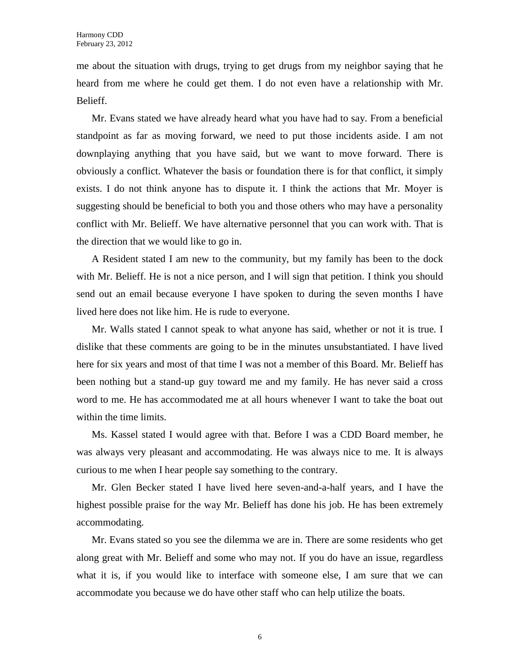me about the situation with drugs, trying to get drugs from my neighbor saying that he heard from me where he could get them. I do not even have a relationship with Mr. Belieff.

Mr. Evans stated we have already heard what you have had to say. From a beneficial standpoint as far as moving forward, we need to put those incidents aside. I am not downplaying anything that you have said, but we want to move forward. There is obviously a conflict. Whatever the basis or foundation there is for that conflict, it simply exists. I do not think anyone has to dispute it. I think the actions that Mr. Moyer is suggesting should be beneficial to both you and those others who may have a personality conflict with Mr. Belieff. We have alternative personnel that you can work with. That is the direction that we would like to go in.

A Resident stated I am new to the community, but my family has been to the dock with Mr. Belieff. He is not a nice person, and I will sign that petition. I think you should send out an email because everyone I have spoken to during the seven months I have lived here does not like him. He is rude to everyone.

Mr. Walls stated I cannot speak to what anyone has said, whether or not it is true. I dislike that these comments are going to be in the minutes unsubstantiated. I have lived here for six years and most of that time I was not a member of this Board. Mr. Belieff has been nothing but a stand-up guy toward me and my family. He has never said a cross word to me. He has accommodated me at all hours whenever I want to take the boat out within the time limits.

Ms. Kassel stated I would agree with that. Before I was a CDD Board member, he was always very pleasant and accommodating. He was always nice to me. It is always curious to me when I hear people say something to the contrary.

Mr. Glen Becker stated I have lived here seven-and-a-half years, and I have the highest possible praise for the way Mr. Belieff has done his job. He has been extremely accommodating.

Mr. Evans stated so you see the dilemma we are in. There are some residents who get along great with Mr. Belieff and some who may not. If you do have an issue, regardless what it is, if you would like to interface with someone else, I am sure that we can accommodate you because we do have other staff who can help utilize the boats.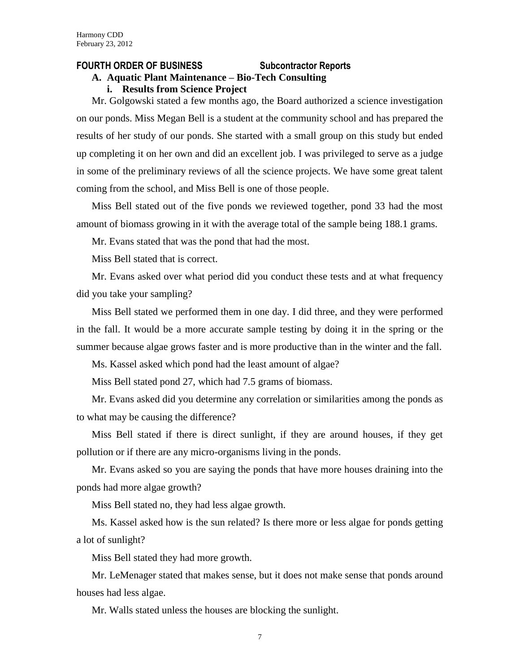### **FOURTH ORDER OF BUSINESS Subcontractor Reports**

## **A. Aquatic Plant Maintenance – Bio-Tech Consulting**

### **i. Results from Science Project**

Mr. Golgowski stated a few months ago, the Board authorized a science investigation on our ponds. Miss Megan Bell is a student at the community school and has prepared the results of her study of our ponds. She started with a small group on this study but ended up completing it on her own and did an excellent job. I was privileged to serve as a judge in some of the preliminary reviews of all the science projects. We have some great talent coming from the school, and Miss Bell is one of those people.

Miss Bell stated out of the five ponds we reviewed together, pond 33 had the most amount of biomass growing in it with the average total of the sample being 188.1 grams.

Mr. Evans stated that was the pond that had the most.

Miss Bell stated that is correct.

Mr. Evans asked over what period did you conduct these tests and at what frequency did you take your sampling?

Miss Bell stated we performed them in one day. I did three, and they were performed in the fall. It would be a more accurate sample testing by doing it in the spring or the summer because algae grows faster and is more productive than in the winter and the fall.

Ms. Kassel asked which pond had the least amount of algae?

Miss Bell stated pond 27, which had 7.5 grams of biomass.

Mr. Evans asked did you determine any correlation or similarities among the ponds as to what may be causing the difference?

Miss Bell stated if there is direct sunlight, if they are around houses, if they get pollution or if there are any micro-organisms living in the ponds.

Mr. Evans asked so you are saying the ponds that have more houses draining into the ponds had more algae growth?

Miss Bell stated no, they had less algae growth.

Ms. Kassel asked how is the sun related? Is there more or less algae for ponds getting a lot of sunlight?

Miss Bell stated they had more growth.

Mr. LeMenager stated that makes sense, but it does not make sense that ponds around houses had less algae.

Mr. Walls stated unless the houses are blocking the sunlight.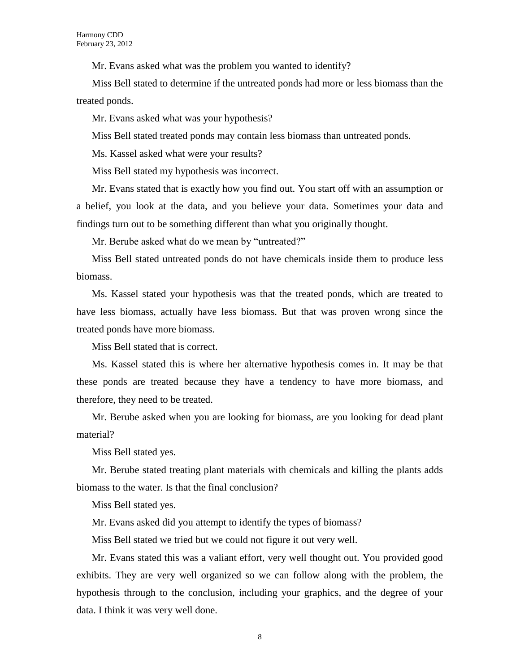Mr. Evans asked what was the problem you wanted to identify?

Miss Bell stated to determine if the untreated ponds had more or less biomass than the treated ponds.

Mr. Evans asked what was your hypothesis?

Miss Bell stated treated ponds may contain less biomass than untreated ponds.

Ms. Kassel asked what were your results?

Miss Bell stated my hypothesis was incorrect.

Mr. Evans stated that is exactly how you find out. You start off with an assumption or a belief, you look at the data, and you believe your data. Sometimes your data and findings turn out to be something different than what you originally thought.

Mr. Berube asked what do we mean by "untreated?"

Miss Bell stated untreated ponds do not have chemicals inside them to produce less biomass.

Ms. Kassel stated your hypothesis was that the treated ponds, which are treated to have less biomass, actually have less biomass. But that was proven wrong since the treated ponds have more biomass.

Miss Bell stated that is correct.

Ms. Kassel stated this is where her alternative hypothesis comes in. It may be that these ponds are treated because they have a tendency to have more biomass, and therefore, they need to be treated.

Mr. Berube asked when you are looking for biomass, are you looking for dead plant material?

Miss Bell stated yes.

Mr. Berube stated treating plant materials with chemicals and killing the plants adds biomass to the water. Is that the final conclusion?

Miss Bell stated yes.

Mr. Evans asked did you attempt to identify the types of biomass?

Miss Bell stated we tried but we could not figure it out very well.

Mr. Evans stated this was a valiant effort, very well thought out. You provided good exhibits. They are very well organized so we can follow along with the problem, the hypothesis through to the conclusion, including your graphics, and the degree of your data. I think it was very well done.

8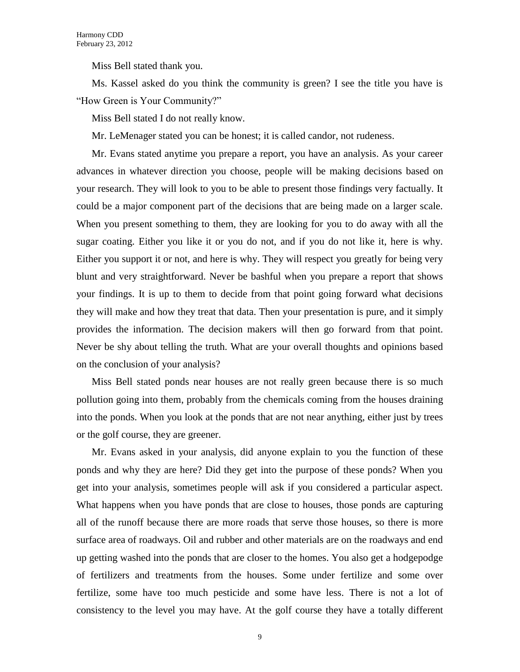Miss Bell stated thank you.

Ms. Kassel asked do you think the community is green? I see the title you have is "How Green is Your Community?"

Miss Bell stated I do not really know.

Mr. LeMenager stated you can be honest; it is called candor, not rudeness.

Mr. Evans stated anytime you prepare a report, you have an analysis. As your career advances in whatever direction you choose, people will be making decisions based on your research. They will look to you to be able to present those findings very factually. It could be a major component part of the decisions that are being made on a larger scale. When you present something to them, they are looking for you to do away with all the sugar coating. Either you like it or you do not, and if you do not like it, here is why. Either you support it or not, and here is why. They will respect you greatly for being very blunt and very straightforward. Never be bashful when you prepare a report that shows your findings. It is up to them to decide from that point going forward what decisions they will make and how they treat that data. Then your presentation is pure, and it simply provides the information. The decision makers will then go forward from that point. Never be shy about telling the truth. What are your overall thoughts and opinions based on the conclusion of your analysis?

Miss Bell stated ponds near houses are not really green because there is so much pollution going into them, probably from the chemicals coming from the houses draining into the ponds. When you look at the ponds that are not near anything, either just by trees or the golf course, they are greener.

Mr. Evans asked in your analysis, did anyone explain to you the function of these ponds and why they are here? Did they get into the purpose of these ponds? When you get into your analysis, sometimes people will ask if you considered a particular aspect. What happens when you have ponds that are close to houses, those ponds are capturing all of the runoff because there are more roads that serve those houses, so there is more surface area of roadways. Oil and rubber and other materials are on the roadways and end up getting washed into the ponds that are closer to the homes. You also get a hodgepodge of fertilizers and treatments from the houses. Some under fertilize and some over fertilize, some have too much pesticide and some have less. There is not a lot of consistency to the level you may have. At the golf course they have a totally different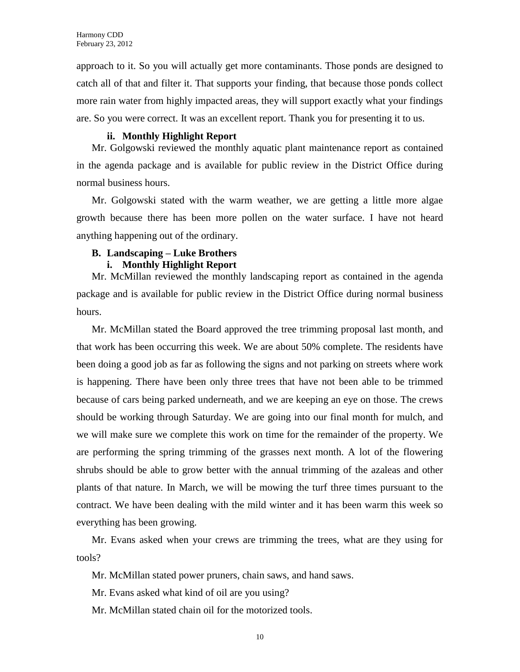approach to it. So you will actually get more contaminants. Those ponds are designed to catch all of that and filter it. That supports your finding, that because those ponds collect more rain water from highly impacted areas, they will support exactly what your findings are. So you were correct. It was an excellent report. Thank you for presenting it to us.

### **ii. Monthly Highlight Report**

Mr. Golgowski reviewed the monthly aquatic plant maintenance report as contained in the agenda package and is available for public review in the District Office during normal business hours.

Mr. Golgowski stated with the warm weather, we are getting a little more algae growth because there has been more pollen on the water surface. I have not heard anything happening out of the ordinary.

### **B. Landscaping – Luke Brothers**

### **i. Monthly Highlight Report**

Mr. McMillan reviewed the monthly landscaping report as contained in the agenda package and is available for public review in the District Office during normal business hours.

Mr. McMillan stated the Board approved the tree trimming proposal last month, and that work has been occurring this week. We are about 50% complete. The residents have been doing a good job as far as following the signs and not parking on streets where work is happening. There have been only three trees that have not been able to be trimmed because of cars being parked underneath, and we are keeping an eye on those. The crews should be working through Saturday. We are going into our final month for mulch, and we will make sure we complete this work on time for the remainder of the property. We are performing the spring trimming of the grasses next month. A lot of the flowering shrubs should be able to grow better with the annual trimming of the azaleas and other plants of that nature. In March, we will be mowing the turf three times pursuant to the contract. We have been dealing with the mild winter and it has been warm this week so everything has been growing.

Mr. Evans asked when your crews are trimming the trees, what are they using for tools?

Mr. McMillan stated power pruners, chain saws, and hand saws.

Mr. Evans asked what kind of oil are you using?

Mr. McMillan stated chain oil for the motorized tools.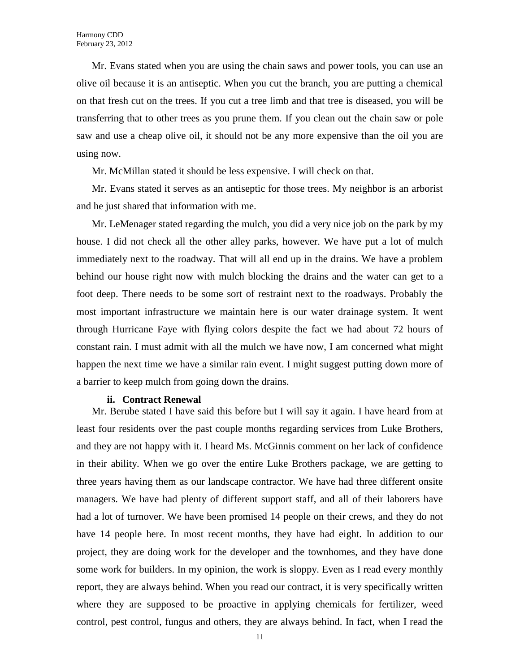Mr. Evans stated when you are using the chain saws and power tools, you can use an olive oil because it is an antiseptic. When you cut the branch, you are putting a chemical on that fresh cut on the trees. If you cut a tree limb and that tree is diseased, you will be transferring that to other trees as you prune them. If you clean out the chain saw or pole saw and use a cheap olive oil, it should not be any more expensive than the oil you are using now.

Mr. McMillan stated it should be less expensive. I will check on that.

Mr. Evans stated it serves as an antiseptic for those trees. My neighbor is an arborist and he just shared that information with me.

Mr. LeMenager stated regarding the mulch, you did a very nice job on the park by my house. I did not check all the other alley parks, however. We have put a lot of mulch immediately next to the roadway. That will all end up in the drains. We have a problem behind our house right now with mulch blocking the drains and the water can get to a foot deep. There needs to be some sort of restraint next to the roadways. Probably the most important infrastructure we maintain here is our water drainage system. It went through Hurricane Faye with flying colors despite the fact we had about 72 hours of constant rain. I must admit with all the mulch we have now, I am concerned what might happen the next time we have a similar rain event. I might suggest putting down more of a barrier to keep mulch from going down the drains.

### **ii. Contract Renewal**

Mr. Berube stated I have said this before but I will say it again. I have heard from at least four residents over the past couple months regarding services from Luke Brothers, and they are not happy with it. I heard Ms. McGinnis comment on her lack of confidence in their ability. When we go over the entire Luke Brothers package, we are getting to three years having them as our landscape contractor. We have had three different onsite managers. We have had plenty of different support staff, and all of their laborers have had a lot of turnover. We have been promised 14 people on their crews, and they do not have 14 people here. In most recent months, they have had eight. In addition to our project, they are doing work for the developer and the townhomes, and they have done some work for builders. In my opinion, the work is sloppy. Even as I read every monthly report, they are always behind. When you read our contract, it is very specifically written where they are supposed to be proactive in applying chemicals for fertilizer, weed control, pest control, fungus and others, they are always behind. In fact, when I read the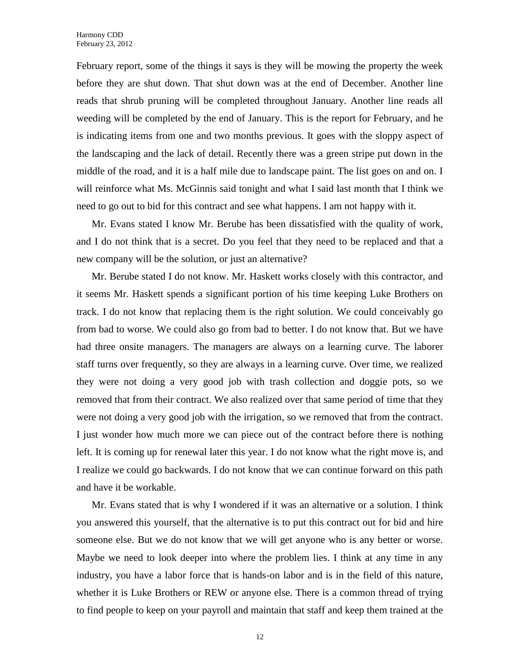February report, some of the things it says is they will be mowing the property the week before they are shut down. That shut down was at the end of December. Another line reads that shrub pruning will be completed throughout January. Another line reads all weeding will be completed by the end of January. This is the report for February, and he is indicating items from one and two months previous. It goes with the sloppy aspect of the landscaping and the lack of detail. Recently there was a green stripe put down in the middle of the road, and it is a half mile due to landscape paint. The list goes on and on. I will reinforce what Ms. McGinnis said tonight and what I said last month that I think we need to go out to bid for this contract and see what happens. I am not happy with it.

Mr. Evans stated I know Mr. Berube has been dissatisfied with the quality of work, and I do not think that is a secret. Do you feel that they need to be replaced and that a new company will be the solution, or just an alternative?

Mr. Berube stated I do not know. Mr. Haskett works closely with this contractor, and it seems Mr. Haskett spends a significant portion of his time keeping Luke Brothers on track. I do not know that replacing them is the right solution. We could conceivably go from bad to worse. We could also go from bad to better. I do not know that. But we have had three onsite managers. The managers are always on a learning curve. The laborer staff turns over frequently, so they are always in a learning curve. Over time, we realized they were not doing a very good job with trash collection and doggie pots, so we removed that from their contract. We also realized over that same period of time that they were not doing a very good job with the irrigation, so we removed that from the contract. I just wonder how much more we can piece out of the contract before there is nothing left. It is coming up for renewal later this year. I do not know what the right move is, and I realize we could go backwards. I do not know that we can continue forward on this path and have it be workable.

Mr. Evans stated that is why I wondered if it was an alternative or a solution. I think you answered this yourself, that the alternative is to put this contract out for bid and hire someone else. But we do not know that we will get anyone who is any better or worse. Maybe we need to look deeper into where the problem lies. I think at any time in any industry, you have a labor force that is hands-on labor and is in the field of this nature, whether it is Luke Brothers or REW or anyone else. There is a common thread of trying to find people to keep on your payroll and maintain that staff and keep them trained at the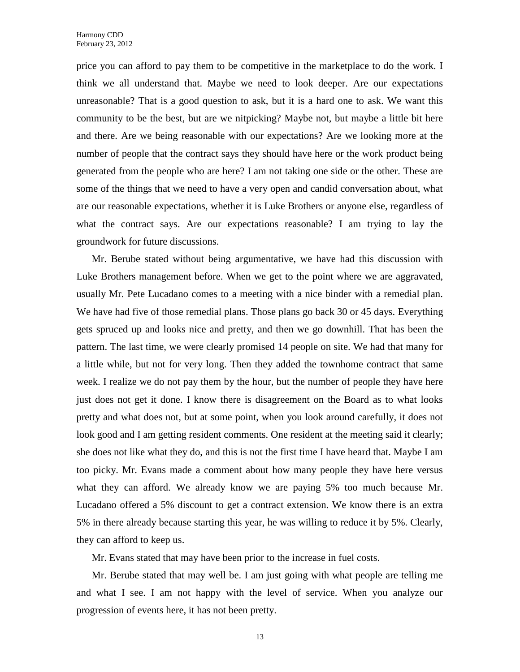price you can afford to pay them to be competitive in the marketplace to do the work. I think we all understand that. Maybe we need to look deeper. Are our expectations unreasonable? That is a good question to ask, but it is a hard one to ask. We want this community to be the best, but are we nitpicking? Maybe not, but maybe a little bit here and there. Are we being reasonable with our expectations? Are we looking more at the number of people that the contract says they should have here or the work product being generated from the people who are here? I am not taking one side or the other. These are some of the things that we need to have a very open and candid conversation about, what are our reasonable expectations, whether it is Luke Brothers or anyone else, regardless of what the contract says. Are our expectations reasonable? I am trying to lay the groundwork for future discussions.

Mr. Berube stated without being argumentative, we have had this discussion with Luke Brothers management before. When we get to the point where we are aggravated, usually Mr. Pete Lucadano comes to a meeting with a nice binder with a remedial plan. We have had five of those remedial plans. Those plans go back 30 or 45 days. Everything gets spruced up and looks nice and pretty, and then we go downhill. That has been the pattern. The last time, we were clearly promised 14 people on site. We had that many for a little while, but not for very long. Then they added the townhome contract that same week. I realize we do not pay them by the hour, but the number of people they have here just does not get it done. I know there is disagreement on the Board as to what looks pretty and what does not, but at some point, when you look around carefully, it does not look good and I am getting resident comments. One resident at the meeting said it clearly; she does not like what they do, and this is not the first time I have heard that. Maybe I am too picky. Mr. Evans made a comment about how many people they have here versus what they can afford. We already know we are paying 5% too much because Mr. Lucadano offered a 5% discount to get a contract extension. We know there is an extra 5% in there already because starting this year, he was willing to reduce it by 5%. Clearly, they can afford to keep us.

Mr. Evans stated that may have been prior to the increase in fuel costs.

Mr. Berube stated that may well be. I am just going with what people are telling me and what I see. I am not happy with the level of service. When you analyze our progression of events here, it has not been pretty.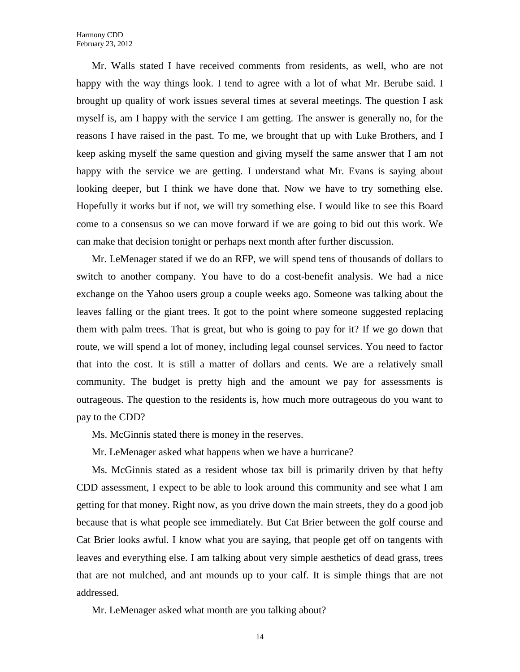Mr. Walls stated I have received comments from residents, as well, who are not happy with the way things look. I tend to agree with a lot of what Mr. Berube said. I brought up quality of work issues several times at several meetings. The question I ask myself is, am I happy with the service I am getting. The answer is generally no, for the reasons I have raised in the past. To me, we brought that up with Luke Brothers, and I keep asking myself the same question and giving myself the same answer that I am not happy with the service we are getting. I understand what Mr. Evans is saying about looking deeper, but I think we have done that. Now we have to try something else. Hopefully it works but if not, we will try something else. I would like to see this Board come to a consensus so we can move forward if we are going to bid out this work. We can make that decision tonight or perhaps next month after further discussion.

Mr. LeMenager stated if we do an RFP, we will spend tens of thousands of dollars to switch to another company. You have to do a cost-benefit analysis. We had a nice exchange on the Yahoo users group a couple weeks ago. Someone was talking about the leaves falling or the giant trees. It got to the point where someone suggested replacing them with palm trees. That is great, but who is going to pay for it? If we go down that route, we will spend a lot of money, including legal counsel services. You need to factor that into the cost. It is still a matter of dollars and cents. We are a relatively small community. The budget is pretty high and the amount we pay for assessments is outrageous. The question to the residents is, how much more outrageous do you want to pay to the CDD?

Ms. McGinnis stated there is money in the reserves.

Mr. LeMenager asked what happens when we have a hurricane?

Ms. McGinnis stated as a resident whose tax bill is primarily driven by that hefty CDD assessment, I expect to be able to look around this community and see what I am getting for that money. Right now, as you drive down the main streets, they do a good job because that is what people see immediately. But Cat Brier between the golf course and Cat Brier looks awful. I know what you are saying, that people get off on tangents with leaves and everything else. I am talking about very simple aesthetics of dead grass, trees that are not mulched, and ant mounds up to your calf. It is simple things that are not addressed.

Mr. LeMenager asked what month are you talking about?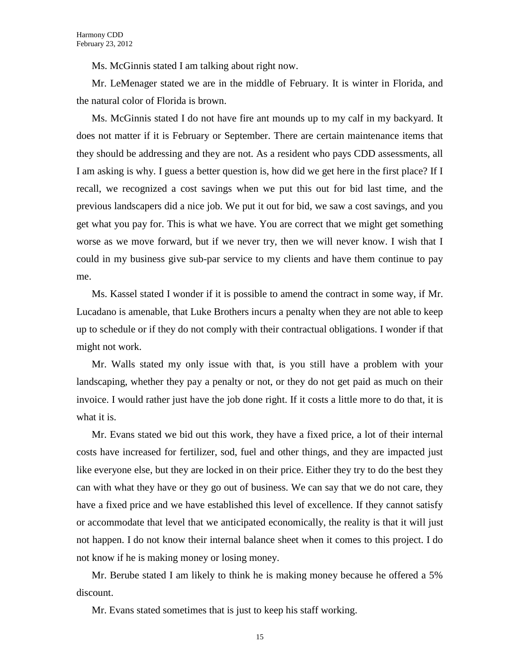Ms. McGinnis stated I am talking about right now.

Mr. LeMenager stated we are in the middle of February. It is winter in Florida, and the natural color of Florida is brown.

Ms. McGinnis stated I do not have fire ant mounds up to my calf in my backyard. It does not matter if it is February or September. There are certain maintenance items that they should be addressing and they are not. As a resident who pays CDD assessments, all I am asking is why. I guess a better question is, how did we get here in the first place? If I recall, we recognized a cost savings when we put this out for bid last time, and the previous landscapers did a nice job. We put it out for bid, we saw a cost savings, and you get what you pay for. This is what we have. You are correct that we might get something worse as we move forward, but if we never try, then we will never know. I wish that I could in my business give sub-par service to my clients and have them continue to pay me.

Ms. Kassel stated I wonder if it is possible to amend the contract in some way, if Mr. Lucadano is amenable, that Luke Brothers incurs a penalty when they are not able to keep up to schedule or if they do not comply with their contractual obligations. I wonder if that might not work.

Mr. Walls stated my only issue with that, is you still have a problem with your landscaping, whether they pay a penalty or not, or they do not get paid as much on their invoice. I would rather just have the job done right. If it costs a little more to do that, it is what it is.

Mr. Evans stated we bid out this work, they have a fixed price, a lot of their internal costs have increased for fertilizer, sod, fuel and other things, and they are impacted just like everyone else, but they are locked in on their price. Either they try to do the best they can with what they have or they go out of business. We can say that we do not care, they have a fixed price and we have established this level of excellence. If they cannot satisfy or accommodate that level that we anticipated economically, the reality is that it will just not happen. I do not know their internal balance sheet when it comes to this project. I do not know if he is making money or losing money.

Mr. Berube stated I am likely to think he is making money because he offered a 5% discount.

Mr. Evans stated sometimes that is just to keep his staff working.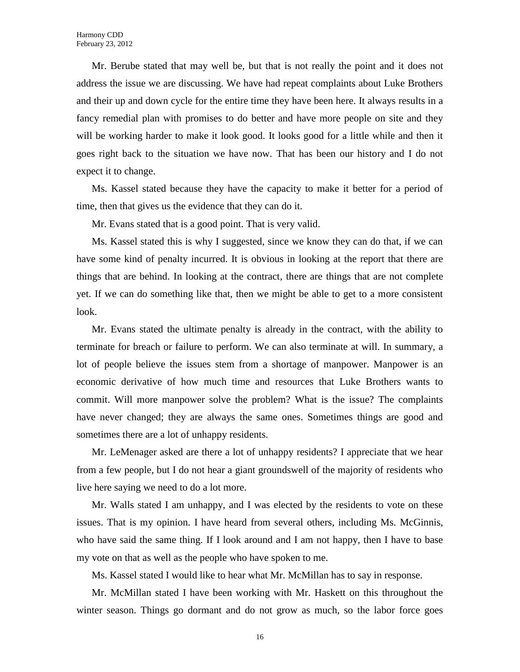Mr. Berube stated that may well be, but that is not really the point and it does not address the issue we are discussing. We have had repeat complaints about Luke Brothers and their up and down cycle for the entire time they have been here. It always results in a fancy remedial plan with promises to do better and have more people on site and they will be working harder to make it look good. It looks good for a little while and then it goes right back to the situation we have now. That has been our history and I do not expect it to change.

Ms. Kassel stated because they have the capacity to make it better for a period of time, then that gives us the evidence that they can do it.

Mr. Evans stated that is a good point. That is very valid.

Ms. Kassel stated this is why I suggested, since we know they can do that, if we can have some kind of penalty incurred. It is obvious in looking at the report that there are things that are behind. In looking at the contract, there are things that are not complete yet. If we can do something like that, then we might be able to get to a more consistent look.

Mr. Evans stated the ultimate penalty is already in the contract, with the ability to terminate for breach or failure to perform. We can also terminate at will. In summary, a lot of people believe the issues stem from a shortage of manpower. Manpower is an economic derivative of how much time and resources that Luke Brothers wants to commit. Will more manpower solve the problem? What is the issue? The complaints have never changed; they are always the same ones. Sometimes things are good and sometimes there are a lot of unhappy residents.

Mr. LeMenager asked are there a lot of unhappy residents? I appreciate that we hear from a few people, but I do not hear a giant groundswell of the majority of residents who live here saying we need to do a lot more.

Mr. Walls stated I am unhappy, and I was elected by the residents to vote on these issues. That is my opinion. I have heard from several others, including Ms. McGinnis, who have said the same thing. If I look around and I am not happy, then I have to base my vote on that as well as the people who have spoken to me.

Ms. Kassel stated I would like to hear what Mr. McMillan has to say in response.

Mr. McMillan stated I have been working with Mr. Haskett on this throughout the winter season. Things go dormant and do not grow as much, so the labor force goes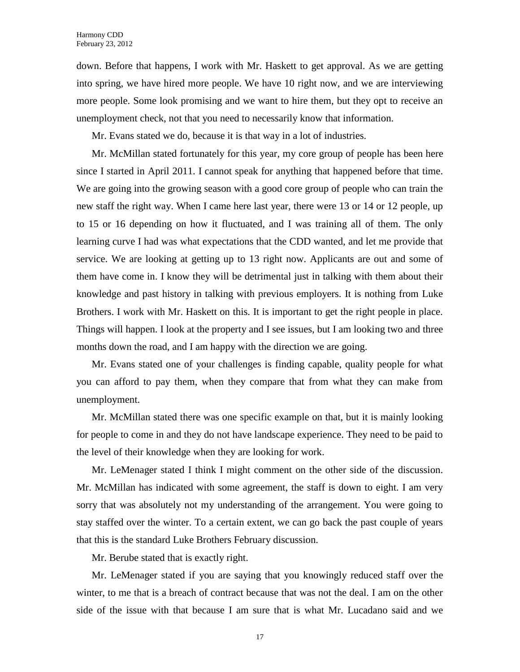down. Before that happens, I work with Mr. Haskett to get approval. As we are getting into spring, we have hired more people. We have 10 right now, and we are interviewing more people. Some look promising and we want to hire them, but they opt to receive an unemployment check, not that you need to necessarily know that information.

Mr. Evans stated we do, because it is that way in a lot of industries.

Mr. McMillan stated fortunately for this year, my core group of people has been here since I started in April 2011. I cannot speak for anything that happened before that time. We are going into the growing season with a good core group of people who can train the new staff the right way. When I came here last year, there were 13 or 14 or 12 people, up to 15 or 16 depending on how it fluctuated, and I was training all of them. The only learning curve I had was what expectations that the CDD wanted, and let me provide that service. We are looking at getting up to 13 right now. Applicants are out and some of them have come in. I know they will be detrimental just in talking with them about their knowledge and past history in talking with previous employers. It is nothing from Luke Brothers. I work with Mr. Haskett on this. It is important to get the right people in place. Things will happen. I look at the property and I see issues, but I am looking two and three months down the road, and I am happy with the direction we are going.

Mr. Evans stated one of your challenges is finding capable, quality people for what you can afford to pay them, when they compare that from what they can make from unemployment.

Mr. McMillan stated there was one specific example on that, but it is mainly looking for people to come in and they do not have landscape experience. They need to be paid to the level of their knowledge when they are looking for work.

Mr. LeMenager stated I think I might comment on the other side of the discussion. Mr. McMillan has indicated with some agreement, the staff is down to eight. I am very sorry that was absolutely not my understanding of the arrangement. You were going to stay staffed over the winter. To a certain extent, we can go back the past couple of years that this is the standard Luke Brothers February discussion.

Mr. Berube stated that is exactly right.

Mr. LeMenager stated if you are saying that you knowingly reduced staff over the winter, to me that is a breach of contract because that was not the deal. I am on the other side of the issue with that because I am sure that is what Mr. Lucadano said and we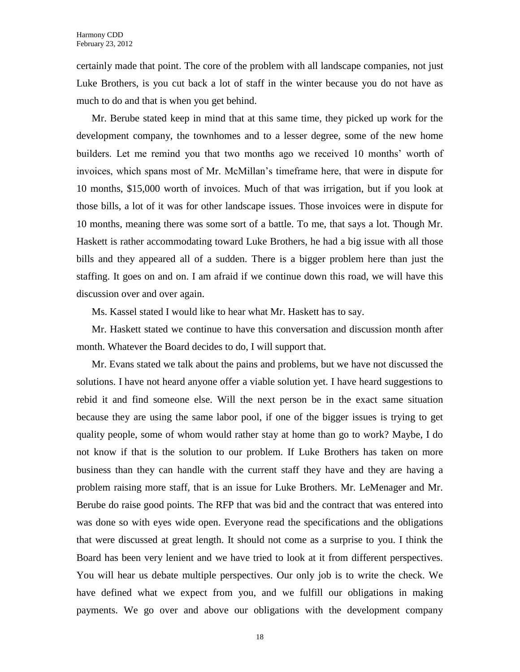certainly made that point. The core of the problem with all landscape companies, not just Luke Brothers, is you cut back a lot of staff in the winter because you do not have as much to do and that is when you get behind.

Mr. Berube stated keep in mind that at this same time, they picked up work for the development company, the townhomes and to a lesser degree, some of the new home builders. Let me remind you that two months ago we received 10 months' worth of invoices, which spans most of Mr. McMillan's timeframe here, that were in dispute for 10 months, \$15,000 worth of invoices. Much of that was irrigation, but if you look at those bills, a lot of it was for other landscape issues. Those invoices were in dispute for 10 months, meaning there was some sort of a battle. To me, that says a lot. Though Mr. Haskett is rather accommodating toward Luke Brothers, he had a big issue with all those bills and they appeared all of a sudden. There is a bigger problem here than just the staffing. It goes on and on. I am afraid if we continue down this road, we will have this discussion over and over again.

Ms. Kassel stated I would like to hear what Mr. Haskett has to say.

Mr. Haskett stated we continue to have this conversation and discussion month after month. Whatever the Board decides to do, I will support that.

Mr. Evans stated we talk about the pains and problems, but we have not discussed the solutions. I have not heard anyone offer a viable solution yet. I have heard suggestions to rebid it and find someone else. Will the next person be in the exact same situation because they are using the same labor pool, if one of the bigger issues is trying to get quality people, some of whom would rather stay at home than go to work? Maybe, I do not know if that is the solution to our problem. If Luke Brothers has taken on more business than they can handle with the current staff they have and they are having a problem raising more staff, that is an issue for Luke Brothers. Mr. LeMenager and Mr. Berube do raise good points. The RFP that was bid and the contract that was entered into was done so with eyes wide open. Everyone read the specifications and the obligations that were discussed at great length. It should not come as a surprise to you. I think the Board has been very lenient and we have tried to look at it from different perspectives. You will hear us debate multiple perspectives. Our only job is to write the check. We have defined what we expect from you, and we fulfill our obligations in making payments. We go over and above our obligations with the development company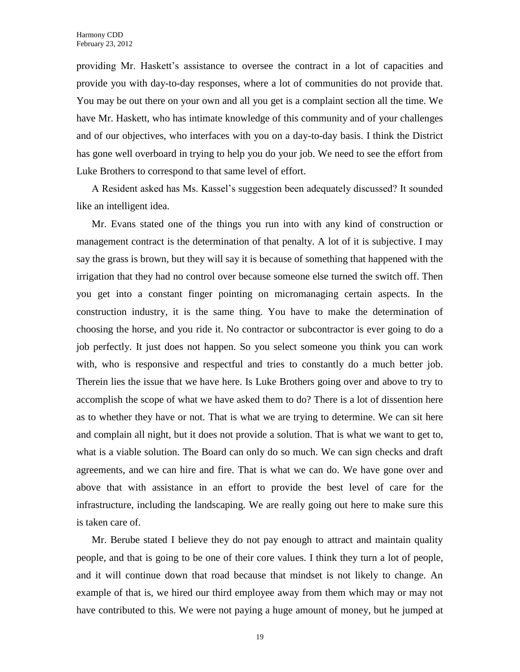providing Mr. Haskett's assistance to oversee the contract in a lot of capacities and provide you with day-to-day responses, where a lot of communities do not provide that. You may be out there on your own and all you get is a complaint section all the time. We have Mr. Haskett, who has intimate knowledge of this community and of your challenges and of our objectives, who interfaces with you on a day-to-day basis. I think the District has gone well overboard in trying to help you do your job. We need to see the effort from Luke Brothers to correspond to that same level of effort.

A Resident asked has Ms. Kassel's suggestion been adequately discussed? It sounded like an intelligent idea.

Mr. Evans stated one of the things you run into with any kind of construction or management contract is the determination of that penalty. A lot of it is subjective. I may say the grass is brown, but they will say it is because of something that happened with the irrigation that they had no control over because someone else turned the switch off. Then you get into a constant finger pointing on micromanaging certain aspects. In the construction industry, it is the same thing. You have to make the determination of choosing the horse, and you ride it. No contractor or subcontractor is ever going to do a job perfectly. It just does not happen. So you select someone you think you can work with, who is responsive and respectful and tries to constantly do a much better job. Therein lies the issue that we have here. Is Luke Brothers going over and above to try to accomplish the scope of what we have asked them to do? There is a lot of dissention here as to whether they have or not. That is what we are trying to determine. We can sit here and complain all night, but it does not provide a solution. That is what we want to get to, what is a viable solution. The Board can only do so much. We can sign checks and draft agreements, and we can hire and fire. That is what we can do. We have gone over and above that with assistance in an effort to provide the best level of care for the infrastructure, including the landscaping. We are really going out here to make sure this is taken care of.

Mr. Berube stated I believe they do not pay enough to attract and maintain quality people, and that is going to be one of their core values. I think they turn a lot of people, and it will continue down that road because that mindset is not likely to change. An example of that is, we hired our third employee away from them which may or may not have contributed to this. We were not paying a huge amount of money, but he jumped at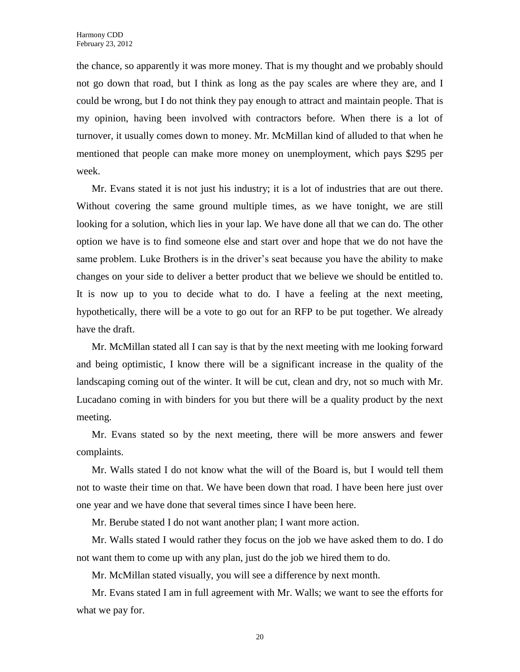the chance, so apparently it was more money. That is my thought and we probably should not go down that road, but I think as long as the pay scales are where they are, and I could be wrong, but I do not think they pay enough to attract and maintain people. That is my opinion, having been involved with contractors before. When there is a lot of turnover, it usually comes down to money. Mr. McMillan kind of alluded to that when he mentioned that people can make more money on unemployment, which pays \$295 per week.

Mr. Evans stated it is not just his industry; it is a lot of industries that are out there. Without covering the same ground multiple times, as we have tonight, we are still looking for a solution, which lies in your lap. We have done all that we can do. The other option we have is to find someone else and start over and hope that we do not have the same problem. Luke Brothers is in the driver's seat because you have the ability to make changes on your side to deliver a better product that we believe we should be entitled to. It is now up to you to decide what to do. I have a feeling at the next meeting, hypothetically, there will be a vote to go out for an RFP to be put together. We already have the draft.

Mr. McMillan stated all I can say is that by the next meeting with me looking forward and being optimistic, I know there will be a significant increase in the quality of the landscaping coming out of the winter. It will be cut, clean and dry, not so much with Mr. Lucadano coming in with binders for you but there will be a quality product by the next meeting.

Mr. Evans stated so by the next meeting, there will be more answers and fewer complaints.

Mr. Walls stated I do not know what the will of the Board is, but I would tell them not to waste their time on that. We have been down that road. I have been here just over one year and we have done that several times since I have been here.

Mr. Berube stated I do not want another plan; I want more action.

Mr. Walls stated I would rather they focus on the job we have asked them to do. I do not want them to come up with any plan, just do the job we hired them to do.

Mr. McMillan stated visually, you will see a difference by next month.

Mr. Evans stated I am in full agreement with Mr. Walls; we want to see the efforts for what we pay for.

20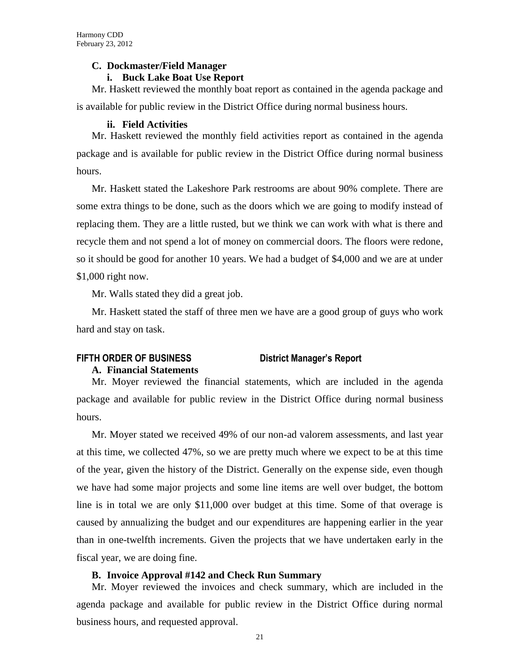### **C. Dockmaster/Field Manager**

### **i. Buck Lake Boat Use Report**

Mr. Haskett reviewed the monthly boat report as contained in the agenda package and is available for public review in the District Office during normal business hours.

### **ii. Field Activities**

Mr. Haskett reviewed the monthly field activities report as contained in the agenda package and is available for public review in the District Office during normal business hours.

Mr. Haskett stated the Lakeshore Park restrooms are about 90% complete. There are some extra things to be done, such as the doors which we are going to modify instead of replacing them. They are a little rusted, but we think we can work with what is there and recycle them and not spend a lot of money on commercial doors. The floors were redone, so it should be good for another 10 years. We had a budget of \$4,000 and we are at under \$1,000 right now.

Mr. Walls stated they did a great job.

Mr. Haskett stated the staff of three men we have are a good group of guys who work hard and stay on task.

## **FIFTH ORDER OF BUSINESS District Manager's Report**

### **A. Financial Statements**

hours.

# Mr. Moyer reviewed the financial statements, which are included in the agenda package and available for public review in the District Office during normal business

Mr. Moyer stated we received 49% of our non-ad valorem assessments, and last year at this time, we collected 47%, so we are pretty much where we expect to be at this time of the year, given the history of the District. Generally on the expense side, even though we have had some major projects and some line items are well over budget, the bottom line is in total we are only \$11,000 over budget at this time. Some of that overage is caused by annualizing the budget and our expenditures are happening earlier in the year than in one-twelfth increments. Given the projects that we have undertaken early in the fiscal year, we are doing fine.

### **B. Invoice Approval #142 and Check Run Summary**

Mr. Moyer reviewed the invoices and check summary, which are included in the agenda package and available for public review in the District Office during normal business hours, and requested approval.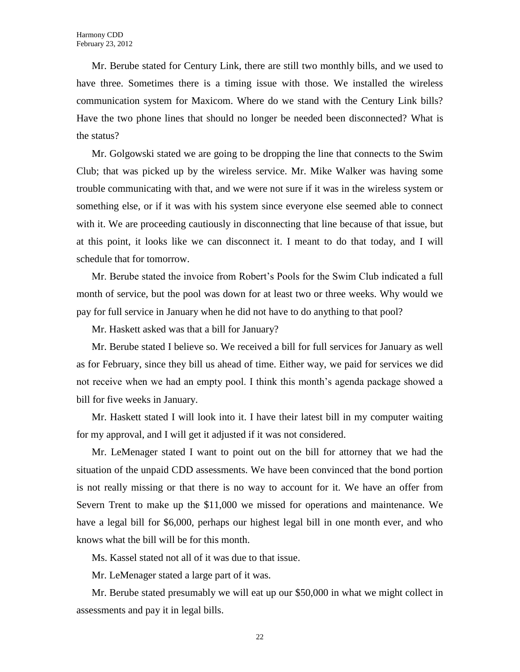Mr. Berube stated for Century Link, there are still two monthly bills, and we used to have three. Sometimes there is a timing issue with those. We installed the wireless communication system for Maxicom. Where do we stand with the Century Link bills? Have the two phone lines that should no longer be needed been disconnected? What is the status?

Mr. Golgowski stated we are going to be dropping the line that connects to the Swim Club; that was picked up by the wireless service. Mr. Mike Walker was having some trouble communicating with that, and we were not sure if it was in the wireless system or something else, or if it was with his system since everyone else seemed able to connect with it. We are proceeding cautiously in disconnecting that line because of that issue, but at this point, it looks like we can disconnect it. I meant to do that today, and I will schedule that for tomorrow.

Mr. Berube stated the invoice from Robert's Pools for the Swim Club indicated a full month of service, but the pool was down for at least two or three weeks. Why would we pay for full service in January when he did not have to do anything to that pool?

Mr. Haskett asked was that a bill for January?

Mr. Berube stated I believe so. We received a bill for full services for January as well as for February, since they bill us ahead of time. Either way, we paid for services we did not receive when we had an empty pool. I think this month's agenda package showed a bill for five weeks in January.

Mr. Haskett stated I will look into it. I have their latest bill in my computer waiting for my approval, and I will get it adjusted if it was not considered.

Mr. LeMenager stated I want to point out on the bill for attorney that we had the situation of the unpaid CDD assessments. We have been convinced that the bond portion is not really missing or that there is no way to account for it. We have an offer from Severn Trent to make up the \$11,000 we missed for operations and maintenance. We have a legal bill for \$6,000, perhaps our highest legal bill in one month ever, and who knows what the bill will be for this month.

Ms. Kassel stated not all of it was due to that issue.

Mr. LeMenager stated a large part of it was.

Mr. Berube stated presumably we will eat up our \$50,000 in what we might collect in assessments and pay it in legal bills.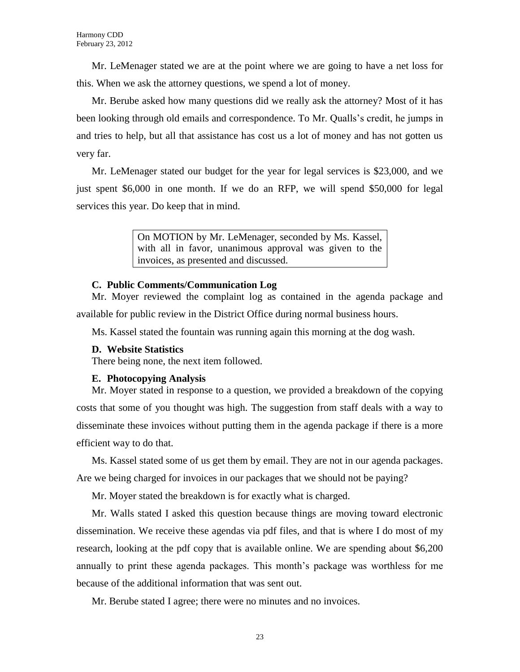Mr. LeMenager stated we are at the point where we are going to have a net loss for this. When we ask the attorney questions, we spend a lot of money.

Mr. Berube asked how many questions did we really ask the attorney? Most of it has been looking through old emails and correspondence. To Mr. Qualls's credit, he jumps in and tries to help, but all that assistance has cost us a lot of money and has not gotten us very far.

Mr. LeMenager stated our budget for the year for legal services is \$23,000, and we just spent \$6,000 in one month. If we do an RFP, we will spend \$50,000 for legal services this year. Do keep that in mind.

> On MOTION by Mr. LeMenager, seconded by Ms. Kassel, with all in favor, unanimous approval was given to the invoices, as presented and discussed.

### **C. Public Comments/Communication Log**

Mr. Moyer reviewed the complaint log as contained in the agenda package and available for public review in the District Office during normal business hours.

Ms. Kassel stated the fountain was running again this morning at the dog wash.

### **D. Website Statistics**

There being none, the next item followed.

### **E. Photocopying Analysis**

Mr. Moyer stated in response to a question, we provided a breakdown of the copying costs that some of you thought was high. The suggestion from staff deals with a way to disseminate these invoices without putting them in the agenda package if there is a more efficient way to do that.

Ms. Kassel stated some of us get them by email. They are not in our agenda packages. Are we being charged for invoices in our packages that we should not be paying?

Mr. Moyer stated the breakdown is for exactly what is charged.

Mr. Walls stated I asked this question because things are moving toward electronic dissemination. We receive these agendas via pdf files, and that is where I do most of my research, looking at the pdf copy that is available online. We are spending about \$6,200 annually to print these agenda packages. This month's package was worthless for me because of the additional information that was sent out.

Mr. Berube stated I agree; there were no minutes and no invoices.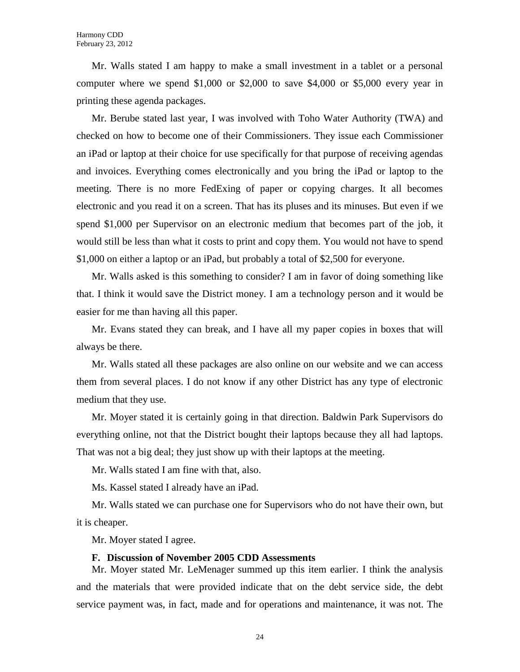Mr. Walls stated I am happy to make a small investment in a tablet or a personal computer where we spend \$1,000 or \$2,000 to save \$4,000 or \$5,000 every year in printing these agenda packages.

Mr. Berube stated last year, I was involved with Toho Water Authority (TWA) and checked on how to become one of their Commissioners. They issue each Commissioner an iPad or laptop at their choice for use specifically for that purpose of receiving agendas and invoices. Everything comes electronically and you bring the iPad or laptop to the meeting. There is no more FedExing of paper or copying charges. It all becomes electronic and you read it on a screen. That has its pluses and its minuses. But even if we spend \$1,000 per Supervisor on an electronic medium that becomes part of the job, it would still be less than what it costs to print and copy them. You would not have to spend \$1,000 on either a laptop or an iPad, but probably a total of \$2,500 for everyone.

Mr. Walls asked is this something to consider? I am in favor of doing something like that. I think it would save the District money. I am a technology person and it would be easier for me than having all this paper.

Mr. Evans stated they can break, and I have all my paper copies in boxes that will always be there.

Mr. Walls stated all these packages are also online on our website and we can access them from several places. I do not know if any other District has any type of electronic medium that they use.

Mr. Moyer stated it is certainly going in that direction. Baldwin Park Supervisors do everything online, not that the District bought their laptops because they all had laptops. That was not a big deal; they just show up with their laptops at the meeting.

Mr. Walls stated I am fine with that, also.

Ms. Kassel stated I already have an iPad.

Mr. Walls stated we can purchase one for Supervisors who do not have their own, but it is cheaper.

Mr. Moyer stated I agree.

### **F. Discussion of November 2005 CDD Assessments**

Mr. Moyer stated Mr. LeMenager summed up this item earlier. I think the analysis and the materials that were provided indicate that on the debt service side, the debt service payment was, in fact, made and for operations and maintenance, it was not. The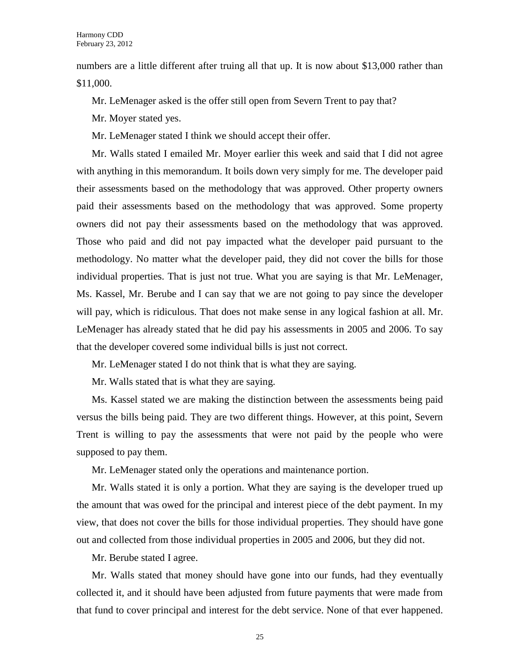numbers are a little different after truing all that up. It is now about \$13,000 rather than \$11,000.

Mr. LeMenager asked is the offer still open from Severn Trent to pay that?

Mr. Moyer stated yes.

Mr. LeMenager stated I think we should accept their offer.

Mr. Walls stated I emailed Mr. Moyer earlier this week and said that I did not agree with anything in this memorandum. It boils down very simply for me. The developer paid their assessments based on the methodology that was approved. Other property owners paid their assessments based on the methodology that was approved. Some property owners did not pay their assessments based on the methodology that was approved. Those who paid and did not pay impacted what the developer paid pursuant to the methodology. No matter what the developer paid, they did not cover the bills for those individual properties. That is just not true. What you are saying is that Mr. LeMenager, Ms. Kassel, Mr. Berube and I can say that we are not going to pay since the developer will pay, which is ridiculous. That does not make sense in any logical fashion at all. Mr. LeMenager has already stated that he did pay his assessments in 2005 and 2006. To say that the developer covered some individual bills is just not correct.

Mr. LeMenager stated I do not think that is what they are saying.

Mr. Walls stated that is what they are saying.

Ms. Kassel stated we are making the distinction between the assessments being paid versus the bills being paid. They are two different things. However, at this point, Severn Trent is willing to pay the assessments that were not paid by the people who were supposed to pay them.

Mr. LeMenager stated only the operations and maintenance portion.

Mr. Walls stated it is only a portion. What they are saying is the developer trued up the amount that was owed for the principal and interest piece of the debt payment. In my view, that does not cover the bills for those individual properties. They should have gone out and collected from those individual properties in 2005 and 2006, but they did not.

Mr. Berube stated I agree.

Mr. Walls stated that money should have gone into our funds, had they eventually collected it, and it should have been adjusted from future payments that were made from that fund to cover principal and interest for the debt service. None of that ever happened.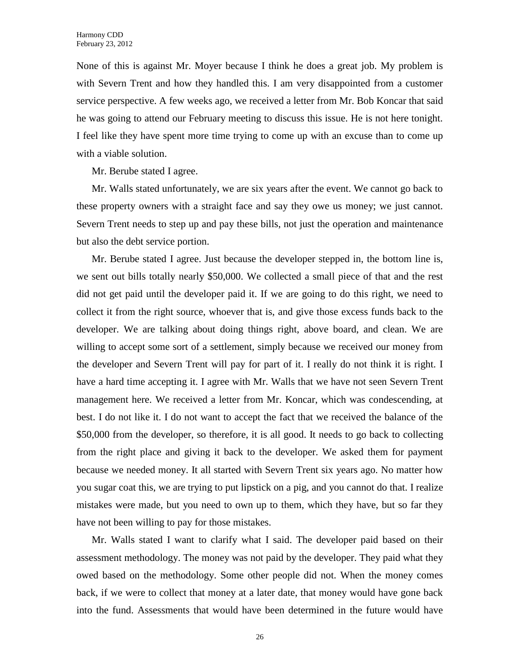None of this is against Mr. Moyer because I think he does a great job. My problem is with Severn Trent and how they handled this. I am very disappointed from a customer service perspective. A few weeks ago, we received a letter from Mr. Bob Koncar that said he was going to attend our February meeting to discuss this issue. He is not here tonight. I feel like they have spent more time trying to come up with an excuse than to come up with a viable solution.

Mr. Berube stated I agree.

Mr. Walls stated unfortunately, we are six years after the event. We cannot go back to these property owners with a straight face and say they owe us money; we just cannot. Severn Trent needs to step up and pay these bills, not just the operation and maintenance but also the debt service portion.

Mr. Berube stated I agree. Just because the developer stepped in, the bottom line is, we sent out bills totally nearly \$50,000. We collected a small piece of that and the rest did not get paid until the developer paid it. If we are going to do this right, we need to collect it from the right source, whoever that is, and give those excess funds back to the developer. We are talking about doing things right, above board, and clean. We are willing to accept some sort of a settlement, simply because we received our money from the developer and Severn Trent will pay for part of it. I really do not think it is right. I have a hard time accepting it. I agree with Mr. Walls that we have not seen Severn Trent management here. We received a letter from Mr. Koncar, which was condescending, at best. I do not like it. I do not want to accept the fact that we received the balance of the \$50,000 from the developer, so therefore, it is all good. It needs to go back to collecting from the right place and giving it back to the developer. We asked them for payment because we needed money. It all started with Severn Trent six years ago. No matter how you sugar coat this, we are trying to put lipstick on a pig, and you cannot do that. I realize mistakes were made, but you need to own up to them, which they have, but so far they have not been willing to pay for those mistakes.

Mr. Walls stated I want to clarify what I said. The developer paid based on their assessment methodology. The money was not paid by the developer. They paid what they owed based on the methodology. Some other people did not. When the money comes back, if we were to collect that money at a later date, that money would have gone back into the fund. Assessments that would have been determined in the future would have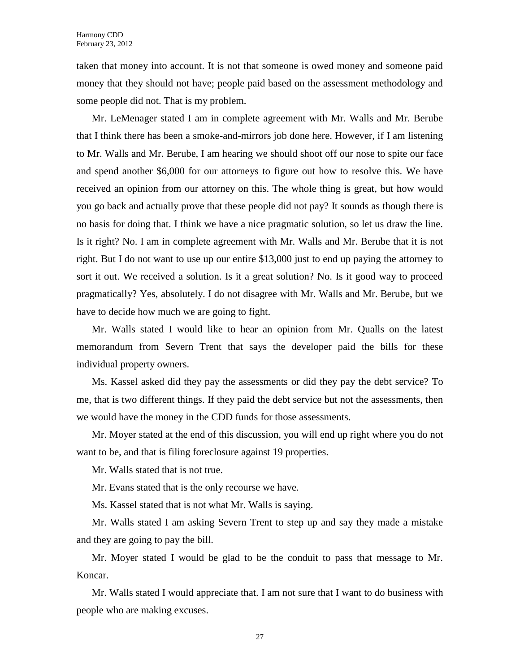taken that money into account. It is not that someone is owed money and someone paid money that they should not have; people paid based on the assessment methodology and some people did not. That is my problem.

Mr. LeMenager stated I am in complete agreement with Mr. Walls and Mr. Berube that I think there has been a smoke-and-mirrors job done here. However, if I am listening to Mr. Walls and Mr. Berube, I am hearing we should shoot off our nose to spite our face and spend another \$6,000 for our attorneys to figure out how to resolve this. We have received an opinion from our attorney on this. The whole thing is great, but how would you go back and actually prove that these people did not pay? It sounds as though there is no basis for doing that. I think we have a nice pragmatic solution, so let us draw the line. Is it right? No. I am in complete agreement with Mr. Walls and Mr. Berube that it is not right. But I do not want to use up our entire \$13,000 just to end up paying the attorney to sort it out. We received a solution. Is it a great solution? No. Is it good way to proceed pragmatically? Yes, absolutely. I do not disagree with Mr. Walls and Mr. Berube, but we have to decide how much we are going to fight.

Mr. Walls stated I would like to hear an opinion from Mr. Qualls on the latest memorandum from Severn Trent that says the developer paid the bills for these individual property owners.

Ms. Kassel asked did they pay the assessments or did they pay the debt service? To me, that is two different things. If they paid the debt service but not the assessments, then we would have the money in the CDD funds for those assessments.

Mr. Moyer stated at the end of this discussion, you will end up right where you do not want to be, and that is filing foreclosure against 19 properties.

Mr. Walls stated that is not true.

Mr. Evans stated that is the only recourse we have.

Ms. Kassel stated that is not what Mr. Walls is saying.

Mr. Walls stated I am asking Severn Trent to step up and say they made a mistake and they are going to pay the bill.

Mr. Moyer stated I would be glad to be the conduit to pass that message to Mr. Koncar.

Mr. Walls stated I would appreciate that. I am not sure that I want to do business with people who are making excuses.

27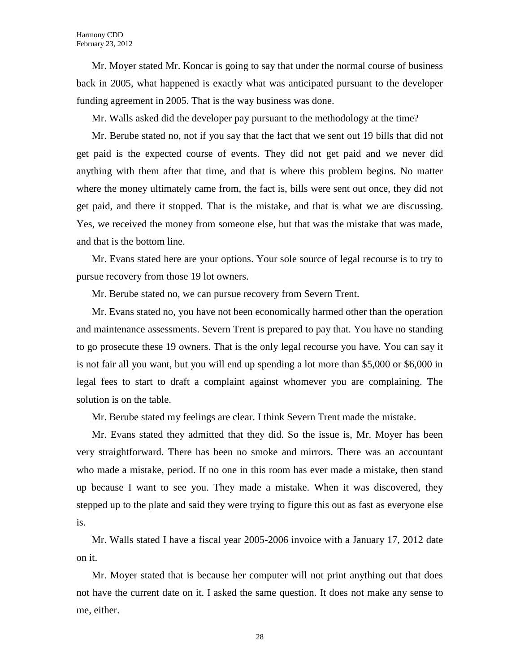Mr. Moyer stated Mr. Koncar is going to say that under the normal course of business back in 2005, what happened is exactly what was anticipated pursuant to the developer funding agreement in 2005. That is the way business was done.

Mr. Walls asked did the developer pay pursuant to the methodology at the time?

Mr. Berube stated no, not if you say that the fact that we sent out 19 bills that did not get paid is the expected course of events. They did not get paid and we never did anything with them after that time, and that is where this problem begins. No matter where the money ultimately came from, the fact is, bills were sent out once, they did not get paid, and there it stopped. That is the mistake, and that is what we are discussing. Yes, we received the money from someone else, but that was the mistake that was made, and that is the bottom line.

Mr. Evans stated here are your options. Your sole source of legal recourse is to try to pursue recovery from those 19 lot owners.

Mr. Berube stated no, we can pursue recovery from Severn Trent.

Mr. Evans stated no, you have not been economically harmed other than the operation and maintenance assessments. Severn Trent is prepared to pay that. You have no standing to go prosecute these 19 owners. That is the only legal recourse you have. You can say it is not fair all you want, but you will end up spending a lot more than \$5,000 or \$6,000 in legal fees to start to draft a complaint against whomever you are complaining. The solution is on the table.

Mr. Berube stated my feelings are clear. I think Severn Trent made the mistake.

Mr. Evans stated they admitted that they did. So the issue is, Mr. Moyer has been very straightforward. There has been no smoke and mirrors. There was an accountant who made a mistake, period. If no one in this room has ever made a mistake, then stand up because I want to see you. They made a mistake. When it was discovered, they stepped up to the plate and said they were trying to figure this out as fast as everyone else is.

Mr. Walls stated I have a fiscal year 2005-2006 invoice with a January 17, 2012 date on it.

Mr. Moyer stated that is because her computer will not print anything out that does not have the current date on it. I asked the same question. It does not make any sense to me, either.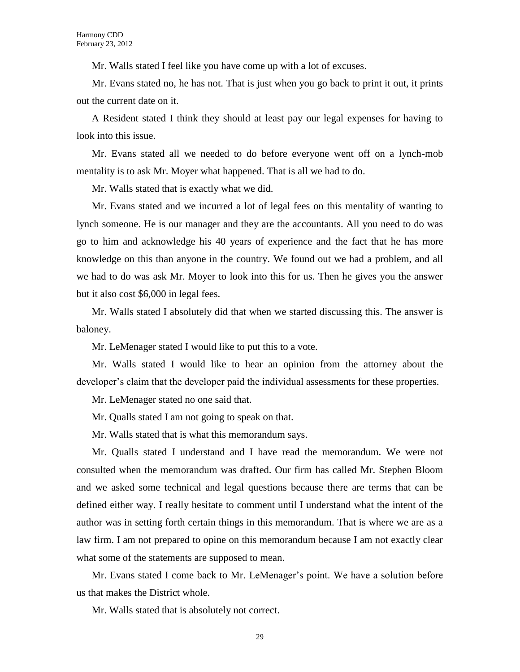Mr. Walls stated I feel like you have come up with a lot of excuses.

Mr. Evans stated no, he has not. That is just when you go back to print it out, it prints out the current date on it.

A Resident stated I think they should at least pay our legal expenses for having to look into this issue.

Mr. Evans stated all we needed to do before everyone went off on a lynch-mob mentality is to ask Mr. Moyer what happened. That is all we had to do.

Mr. Walls stated that is exactly what we did.

Mr. Evans stated and we incurred a lot of legal fees on this mentality of wanting to lynch someone. He is our manager and they are the accountants. All you need to do was go to him and acknowledge his 40 years of experience and the fact that he has more knowledge on this than anyone in the country. We found out we had a problem, and all we had to do was ask Mr. Moyer to look into this for us. Then he gives you the answer but it also cost \$6,000 in legal fees.

Mr. Walls stated I absolutely did that when we started discussing this. The answer is baloney.

Mr. LeMenager stated I would like to put this to a vote.

Mr. Walls stated I would like to hear an opinion from the attorney about the developer's claim that the developer paid the individual assessments for these properties.

Mr. LeMenager stated no one said that.

Mr. Qualls stated I am not going to speak on that.

Mr. Walls stated that is what this memorandum says.

Mr. Qualls stated I understand and I have read the memorandum. We were not consulted when the memorandum was drafted. Our firm has called Mr. Stephen Bloom and we asked some technical and legal questions because there are terms that can be defined either way. I really hesitate to comment until I understand what the intent of the author was in setting forth certain things in this memorandum. That is where we are as a law firm. I am not prepared to opine on this memorandum because I am not exactly clear what some of the statements are supposed to mean.

Mr. Evans stated I come back to Mr. LeMenager's point. We have a solution before us that makes the District whole.

Mr. Walls stated that is absolutely not correct.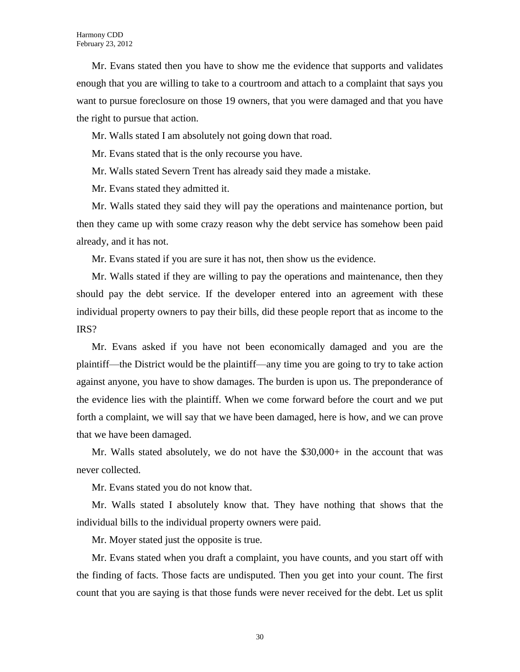Mr. Evans stated then you have to show me the evidence that supports and validates enough that you are willing to take to a courtroom and attach to a complaint that says you want to pursue foreclosure on those 19 owners, that you were damaged and that you have the right to pursue that action.

Mr. Walls stated I am absolutely not going down that road.

Mr. Evans stated that is the only recourse you have.

Mr. Walls stated Severn Trent has already said they made a mistake.

Mr. Evans stated they admitted it.

Mr. Walls stated they said they will pay the operations and maintenance portion, but then they came up with some crazy reason why the debt service has somehow been paid already, and it has not.

Mr. Evans stated if you are sure it has not, then show us the evidence.

Mr. Walls stated if they are willing to pay the operations and maintenance, then they should pay the debt service. If the developer entered into an agreement with these individual property owners to pay their bills, did these people report that as income to the IRS?

Mr. Evans asked if you have not been economically damaged and you are the plaintiff—the District would be the plaintiff—any time you are going to try to take action against anyone, you have to show damages. The burden is upon us. The preponderance of the evidence lies with the plaintiff. When we come forward before the court and we put forth a complaint, we will say that we have been damaged, here is how, and we can prove that we have been damaged.

Mr. Walls stated absolutely, we do not have the \$30,000+ in the account that was never collected.

Mr. Evans stated you do not know that.

Mr. Walls stated I absolutely know that. They have nothing that shows that the individual bills to the individual property owners were paid.

Mr. Moyer stated just the opposite is true.

Mr. Evans stated when you draft a complaint, you have counts, and you start off with the finding of facts. Those facts are undisputed. Then you get into your count. The first count that you are saying is that those funds were never received for the debt. Let us split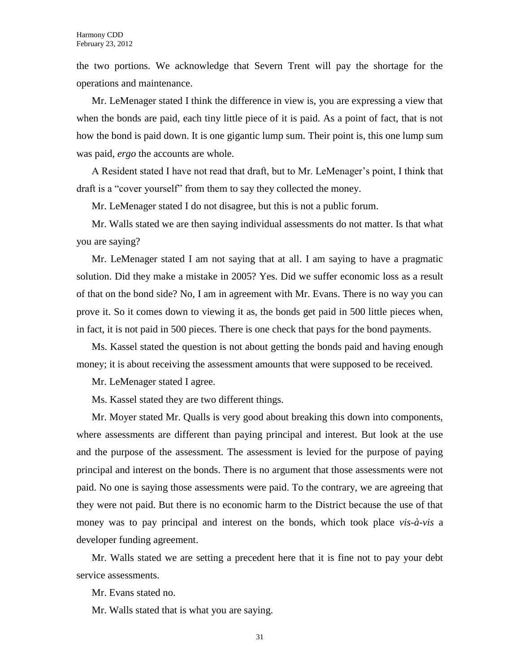the two portions. We acknowledge that Severn Trent will pay the shortage for the operations and maintenance.

Mr. LeMenager stated I think the difference in view is, you are expressing a view that when the bonds are paid, each tiny little piece of it is paid. As a point of fact, that is not how the bond is paid down. It is one gigantic lump sum. Their point is, this one lump sum was paid, *ergo* the accounts are whole.

A Resident stated I have not read that draft, but to Mr. LeMenager's point, I think that draft is a "cover yourself" from them to say they collected the money.

Mr. LeMenager stated I do not disagree, but this is not a public forum.

Mr. Walls stated we are then saying individual assessments do not matter. Is that what you are saying?

Mr. LeMenager stated I am not saying that at all. I am saying to have a pragmatic solution. Did they make a mistake in 2005? Yes. Did we suffer economic loss as a result of that on the bond side? No, I am in agreement with Mr. Evans. There is no way you can prove it. So it comes down to viewing it as, the bonds get paid in 500 little pieces when, in fact, it is not paid in 500 pieces. There is one check that pays for the bond payments.

Ms. Kassel stated the question is not about getting the bonds paid and having enough money; it is about receiving the assessment amounts that were supposed to be received.

Mr. LeMenager stated I agree.

Ms. Kassel stated they are two different things.

Mr. Moyer stated Mr. Qualls is very good about breaking this down into components, where assessments are different than paying principal and interest. But look at the use and the purpose of the assessment. The assessment is levied for the purpose of paying principal and interest on the bonds. There is no argument that those assessments were not paid. No one is saying those assessments were paid. To the contrary, we are agreeing that they were not paid. But there is no economic harm to the District because the use of that money was to pay principal and interest on the bonds, which took place *vis-à-vis* a developer funding agreement.

Mr. Walls stated we are setting a precedent here that it is fine not to pay your debt service assessments.

Mr. Evans stated no.

Mr. Walls stated that is what you are saying.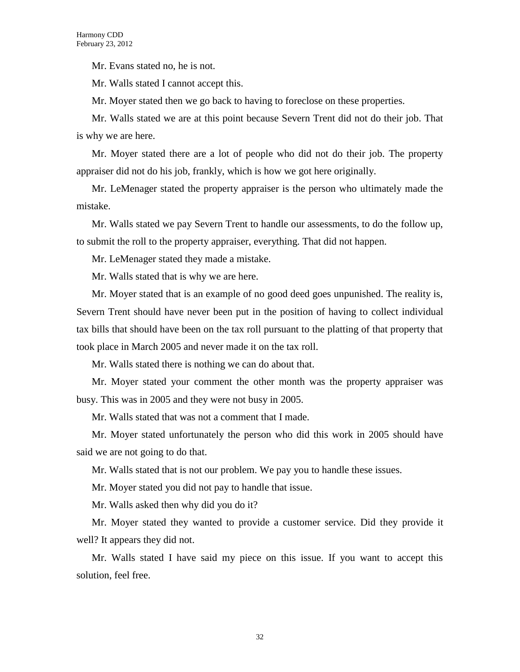Mr. Evans stated no, he is not.

Mr. Walls stated I cannot accept this.

Mr. Moyer stated then we go back to having to foreclose on these properties.

Mr. Walls stated we are at this point because Severn Trent did not do their job. That is why we are here.

Mr. Moyer stated there are a lot of people who did not do their job. The property appraiser did not do his job, frankly, which is how we got here originally.

Mr. LeMenager stated the property appraiser is the person who ultimately made the mistake.

Mr. Walls stated we pay Severn Trent to handle our assessments, to do the follow up, to submit the roll to the property appraiser, everything. That did not happen.

Mr. LeMenager stated they made a mistake.

Mr. Walls stated that is why we are here.

Mr. Moyer stated that is an example of no good deed goes unpunished. The reality is, Severn Trent should have never been put in the position of having to collect individual tax bills that should have been on the tax roll pursuant to the platting of that property that took place in March 2005 and never made it on the tax roll.

Mr. Walls stated there is nothing we can do about that.

Mr. Moyer stated your comment the other month was the property appraiser was busy. This was in 2005 and they were not busy in 2005.

Mr. Walls stated that was not a comment that I made.

Mr. Moyer stated unfortunately the person who did this work in 2005 should have said we are not going to do that.

Mr. Walls stated that is not our problem. We pay you to handle these issues.

Mr. Moyer stated you did not pay to handle that issue.

Mr. Walls asked then why did you do it?

Mr. Moyer stated they wanted to provide a customer service. Did they provide it well? It appears they did not.

Mr. Walls stated I have said my piece on this issue. If you want to accept this solution, feel free.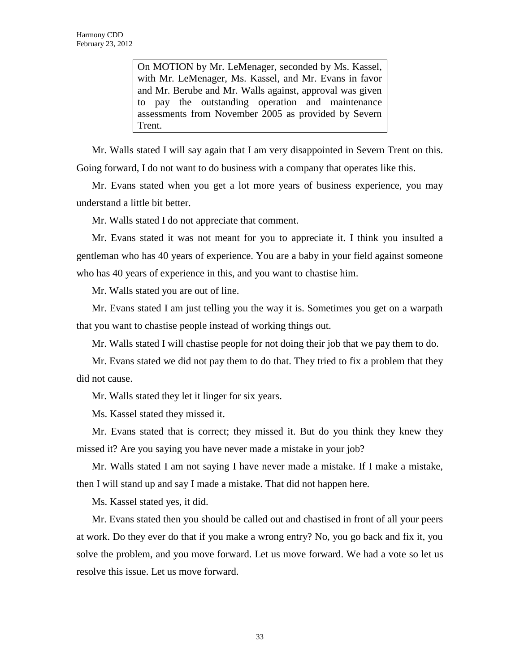On MOTION by Mr. LeMenager, seconded by Ms. Kassel, with Mr. LeMenager, Ms. Kassel, and Mr. Evans in favor and Mr. Berube and Mr. Walls against, approval was given to pay the outstanding operation and maintenance assessments from November 2005 as provided by Severn Trent.

Mr. Walls stated I will say again that I am very disappointed in Severn Trent on this. Going forward, I do not want to do business with a company that operates like this.

Mr. Evans stated when you get a lot more years of business experience, you may understand a little bit better.

Mr. Walls stated I do not appreciate that comment.

Mr. Evans stated it was not meant for you to appreciate it. I think you insulted a gentleman who has 40 years of experience. You are a baby in your field against someone who has 40 years of experience in this, and you want to chastise him.

Mr. Walls stated you are out of line.

Mr. Evans stated I am just telling you the way it is. Sometimes you get on a warpath that you want to chastise people instead of working things out.

Mr. Walls stated I will chastise people for not doing their job that we pay them to do.

Mr. Evans stated we did not pay them to do that. They tried to fix a problem that they did not cause.

Mr. Walls stated they let it linger for six years.

Ms. Kassel stated they missed it.

Mr. Evans stated that is correct; they missed it. But do you think they knew they missed it? Are you saying you have never made a mistake in your job?

Mr. Walls stated I am not saying I have never made a mistake. If I make a mistake, then I will stand up and say I made a mistake. That did not happen here.

Ms. Kassel stated yes, it did.

Mr. Evans stated then you should be called out and chastised in front of all your peers at work. Do they ever do that if you make a wrong entry? No, you go back and fix it, you solve the problem, and you move forward. Let us move forward. We had a vote so let us resolve this issue. Let us move forward.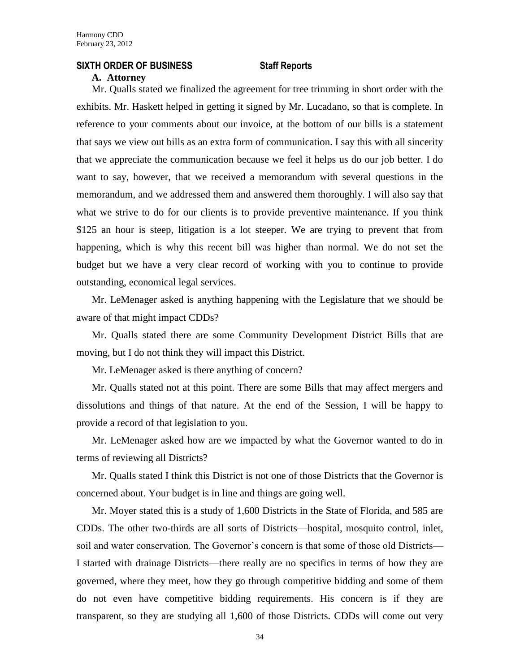### **SIXTH ORDER OF BUSINESS Staff Reports**

### **A. Attorney**

Mr. Qualls stated we finalized the agreement for tree trimming in short order with the exhibits. Mr. Haskett helped in getting it signed by Mr. Lucadano, so that is complete. In reference to your comments about our invoice, at the bottom of our bills is a statement that says we view out bills as an extra form of communication. I say this with all sincerity that we appreciate the communication because we feel it helps us do our job better. I do want to say, however, that we received a memorandum with several questions in the memorandum, and we addressed them and answered them thoroughly. I will also say that what we strive to do for our clients is to provide preventive maintenance. If you think \$125 an hour is steep, litigation is a lot steeper. We are trying to prevent that from happening, which is why this recent bill was higher than normal. We do not set the budget but we have a very clear record of working with you to continue to provide outstanding, economical legal services.

Mr. LeMenager asked is anything happening with the Legislature that we should be aware of that might impact CDDs?

Mr. Qualls stated there are some Community Development District Bills that are moving, but I do not think they will impact this District.

Mr. LeMenager asked is there anything of concern?

Mr. Qualls stated not at this point. There are some Bills that may affect mergers and dissolutions and things of that nature. At the end of the Session, I will be happy to provide a record of that legislation to you.

Mr. LeMenager asked how are we impacted by what the Governor wanted to do in terms of reviewing all Districts?

Mr. Qualls stated I think this District is not one of those Districts that the Governor is concerned about. Your budget is in line and things are going well.

Mr. Moyer stated this is a study of 1,600 Districts in the State of Florida, and 585 are CDDs. The other two-thirds are all sorts of Districts—hospital, mosquito control, inlet, soil and water conservation. The Governor's concern is that some of those old Districts— I started with drainage Districts—there really are no specifics in terms of how they are governed, where they meet, how they go through competitive bidding and some of them do not even have competitive bidding requirements. His concern is if they are transparent, so they are studying all 1,600 of those Districts. CDDs will come out very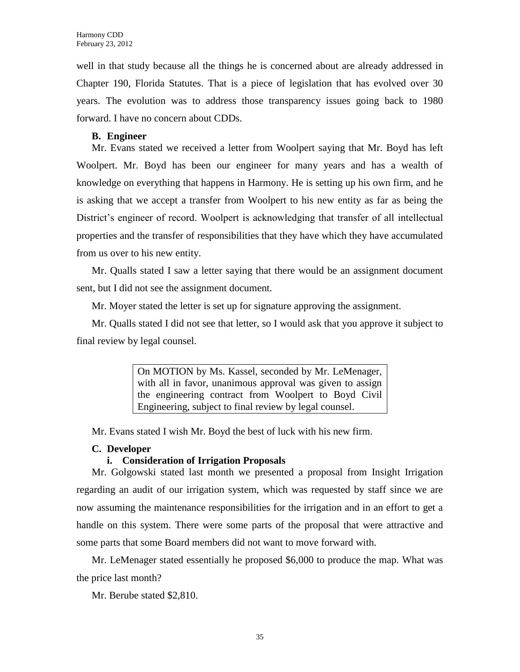well in that study because all the things he is concerned about are already addressed in Chapter 190, Florida Statutes. That is a piece of legislation that has evolved over 30 years. The evolution was to address those transparency issues going back to 1980 forward. I have no concern about CDDs.

### **B. Engineer**

Mr. Evans stated we received a letter from Woolpert saying that Mr. Boyd has left Woolpert. Mr. Boyd has been our engineer for many years and has a wealth of knowledge on everything that happens in Harmony. He is setting up his own firm, and he is asking that we accept a transfer from Woolpert to his new entity as far as being the District's engineer of record. Woolpert is acknowledging that transfer of all intellectual properties and the transfer of responsibilities that they have which they have accumulated from us over to his new entity.

Mr. Qualls stated I saw a letter saying that there would be an assignment document sent, but I did not see the assignment document.

Mr. Moyer stated the letter is set up for signature approving the assignment.

Mr. Qualls stated I did not see that letter, so I would ask that you approve it subject to final review by legal counsel.

> On MOTION by Ms. Kassel, seconded by Mr. LeMenager, with all in favor, unanimous approval was given to assign the engineering contract from Woolpert to Boyd Civil Engineering, subject to final review by legal counsel.

Mr. Evans stated I wish Mr. Boyd the best of luck with his new firm.

### **C. Developer**

### **i. Consideration of Irrigation Proposals**

Mr. Golgowski stated last month we presented a proposal from Insight Irrigation regarding an audit of our irrigation system, which was requested by staff since we are now assuming the maintenance responsibilities for the irrigation and in an effort to get a handle on this system. There were some parts of the proposal that were attractive and some parts that some Board members did not want to move forward with.

Mr. LeMenager stated essentially he proposed \$6,000 to produce the map. What was the price last month?

Mr. Berube stated \$2,810.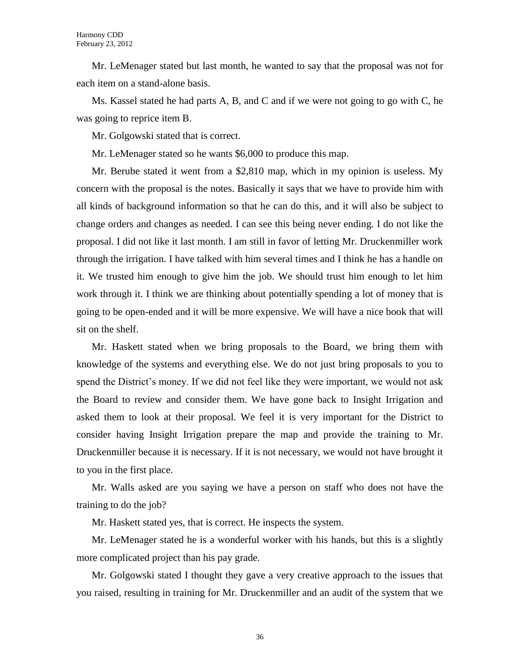Mr. LeMenager stated but last month, he wanted to say that the proposal was not for each item on a stand-alone basis.

Ms. Kassel stated he had parts A, B, and C and if we were not going to go with C, he was going to reprice item B.

Mr. Golgowski stated that is correct.

Mr. LeMenager stated so he wants \$6,000 to produce this map.

Mr. Berube stated it went from a \$2,810 map, which in my opinion is useless. My concern with the proposal is the notes. Basically it says that we have to provide him with all kinds of background information so that he can do this, and it will also be subject to change orders and changes as needed. I can see this being never ending. I do not like the proposal. I did not like it last month. I am still in favor of letting Mr. Druckenmiller work through the irrigation. I have talked with him several times and I think he has a handle on it. We trusted him enough to give him the job. We should trust him enough to let him work through it. I think we are thinking about potentially spending a lot of money that is going to be open-ended and it will be more expensive. We will have a nice book that will sit on the shelf.

Mr. Haskett stated when we bring proposals to the Board, we bring them with knowledge of the systems and everything else. We do not just bring proposals to you to spend the District's money. If we did not feel like they were important, we would not ask the Board to review and consider them. We have gone back to Insight Irrigation and asked them to look at their proposal. We feel it is very important for the District to consider having Insight Irrigation prepare the map and provide the training to Mr. Druckenmiller because it is necessary. If it is not necessary, we would not have brought it to you in the first place.

Mr. Walls asked are you saying we have a person on staff who does not have the training to do the job?

Mr. Haskett stated yes, that is correct. He inspects the system.

Mr. LeMenager stated he is a wonderful worker with his hands, but this is a slightly more complicated project than his pay grade.

Mr. Golgowski stated I thought they gave a very creative approach to the issues that you raised, resulting in training for Mr. Druckenmiller and an audit of the system that we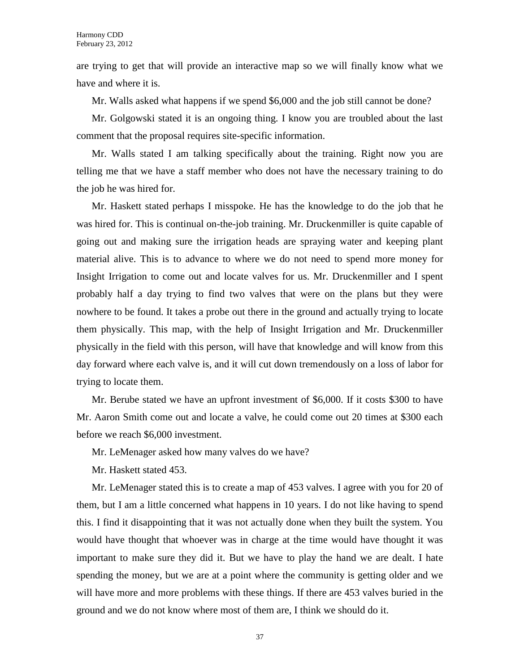are trying to get that will provide an interactive map so we will finally know what we have and where it is.

Mr. Walls asked what happens if we spend \$6,000 and the job still cannot be done?

Mr. Golgowski stated it is an ongoing thing. I know you are troubled about the last comment that the proposal requires site-specific information.

Mr. Walls stated I am talking specifically about the training. Right now you are telling me that we have a staff member who does not have the necessary training to do the job he was hired for.

Mr. Haskett stated perhaps I misspoke. He has the knowledge to do the job that he was hired for. This is continual on-the-job training. Mr. Druckenmiller is quite capable of going out and making sure the irrigation heads are spraying water and keeping plant material alive. This is to advance to where we do not need to spend more money for Insight Irrigation to come out and locate valves for us. Mr. Druckenmiller and I spent probably half a day trying to find two valves that were on the plans but they were nowhere to be found. It takes a probe out there in the ground and actually trying to locate them physically. This map, with the help of Insight Irrigation and Mr. Druckenmiller physically in the field with this person, will have that knowledge and will know from this day forward where each valve is, and it will cut down tremendously on a loss of labor for trying to locate them.

Mr. Berube stated we have an upfront investment of \$6,000. If it costs \$300 to have Mr. Aaron Smith come out and locate a valve, he could come out 20 times at \$300 each before we reach \$6,000 investment.

Mr. LeMenager asked how many valves do we have?

Mr. Haskett stated 453.

Mr. LeMenager stated this is to create a map of 453 valves. I agree with you for 20 of them, but I am a little concerned what happens in 10 years. I do not like having to spend this. I find it disappointing that it was not actually done when they built the system. You would have thought that whoever was in charge at the time would have thought it was important to make sure they did it. But we have to play the hand we are dealt. I hate spending the money, but we are at a point where the community is getting older and we will have more and more problems with these things. If there are 453 valves buried in the ground and we do not know where most of them are, I think we should do it.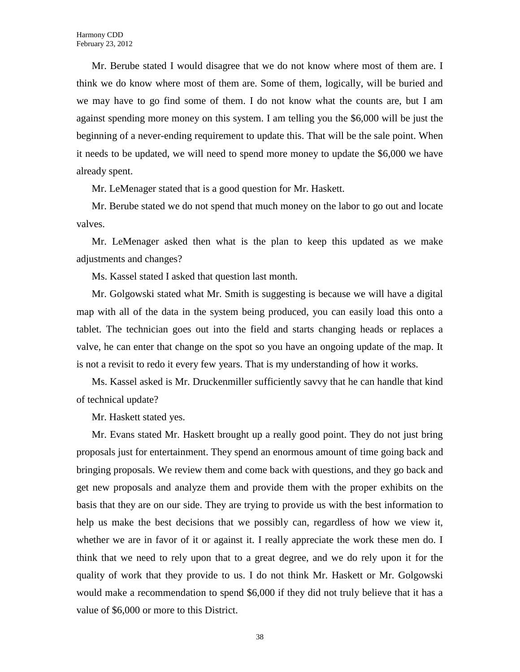Mr. Berube stated I would disagree that we do not know where most of them are. I think we do know where most of them are. Some of them, logically, will be buried and we may have to go find some of them. I do not know what the counts are, but I am against spending more money on this system. I am telling you the \$6,000 will be just the beginning of a never-ending requirement to update this. That will be the sale point. When it needs to be updated, we will need to spend more money to update the \$6,000 we have already spent.

Mr. LeMenager stated that is a good question for Mr. Haskett.

Mr. Berube stated we do not spend that much money on the labor to go out and locate valves.

Mr. LeMenager asked then what is the plan to keep this updated as we make adjustments and changes?

Ms. Kassel stated I asked that question last month.

Mr. Golgowski stated what Mr. Smith is suggesting is because we will have a digital map with all of the data in the system being produced, you can easily load this onto a tablet. The technician goes out into the field and starts changing heads or replaces a valve, he can enter that change on the spot so you have an ongoing update of the map. It is not a revisit to redo it every few years. That is my understanding of how it works.

Ms. Kassel asked is Mr. Druckenmiller sufficiently savvy that he can handle that kind of technical update?

Mr. Haskett stated yes.

Mr. Evans stated Mr. Haskett brought up a really good point. They do not just bring proposals just for entertainment. They spend an enormous amount of time going back and bringing proposals. We review them and come back with questions, and they go back and get new proposals and analyze them and provide them with the proper exhibits on the basis that they are on our side. They are trying to provide us with the best information to help us make the best decisions that we possibly can, regardless of how we view it, whether we are in favor of it or against it. I really appreciate the work these men do. I think that we need to rely upon that to a great degree, and we do rely upon it for the quality of work that they provide to us. I do not think Mr. Haskett or Mr. Golgowski would make a recommendation to spend \$6,000 if they did not truly believe that it has a value of \$6,000 or more to this District.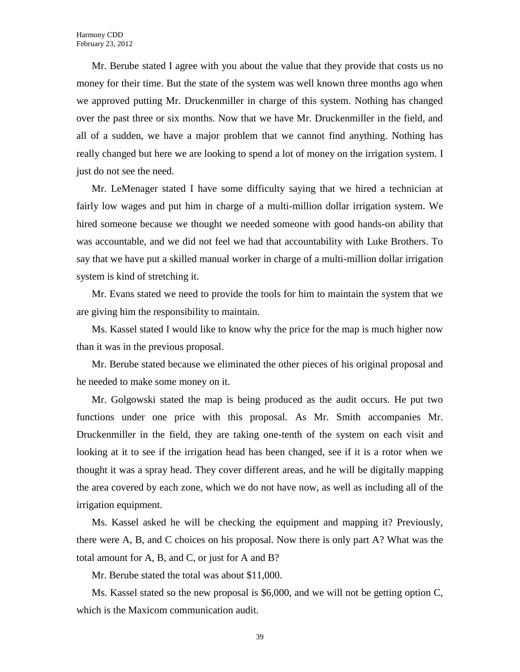Mr. Berube stated I agree with you about the value that they provide that costs us no money for their time. But the state of the system was well known three months ago when we approved putting Mr. Druckenmiller in charge of this system. Nothing has changed over the past three or six months. Now that we have Mr. Druckenmiller in the field, and all of a sudden, we have a major problem that we cannot find anything. Nothing has really changed but here we are looking to spend a lot of money on the irrigation system. I just do not see the need.

Mr. LeMenager stated I have some difficulty saying that we hired a technician at fairly low wages and put him in charge of a multi-million dollar irrigation system. We hired someone because we thought we needed someone with good hands-on ability that was accountable, and we did not feel we had that accountability with Luke Brothers. To say that we have put a skilled manual worker in charge of a multi-million dollar irrigation system is kind of stretching it.

Mr. Evans stated we need to provide the tools for him to maintain the system that we are giving him the responsibility to maintain.

Ms. Kassel stated I would like to know why the price for the map is much higher now than it was in the previous proposal.

Mr. Berube stated because we eliminated the other pieces of his original proposal and he needed to make some money on it.

Mr. Golgowski stated the map is being produced as the audit occurs. He put two functions under one price with this proposal. As Mr. Smith accompanies Mr. Druckenmiller in the field, they are taking one-tenth of the system on each visit and looking at it to see if the irrigation head has been changed, see if it is a rotor when we thought it was a spray head. They cover different areas, and he will be digitally mapping the area covered by each zone, which we do not have now, as well as including all of the irrigation equipment.

Ms. Kassel asked he will be checking the equipment and mapping it? Previously, there were A, B, and C choices on his proposal. Now there is only part A? What was the total amount for A, B, and C, or just for A and B?

Mr. Berube stated the total was about \$11,000.

Ms. Kassel stated so the new proposal is \$6,000, and we will not be getting option C, which is the Maxicom communication audit.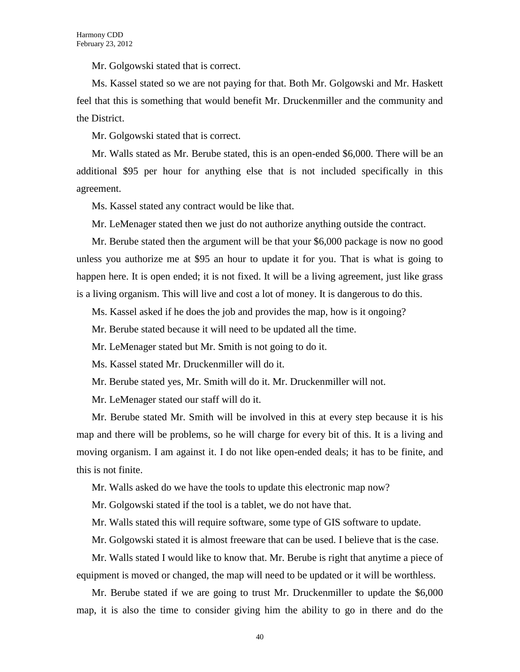Mr. Golgowski stated that is correct.

Ms. Kassel stated so we are not paying for that. Both Mr. Golgowski and Mr. Haskett feel that this is something that would benefit Mr. Druckenmiller and the community and the District.

Mr. Golgowski stated that is correct.

Mr. Walls stated as Mr. Berube stated, this is an open-ended \$6,000. There will be an additional \$95 per hour for anything else that is not included specifically in this agreement.

Ms. Kassel stated any contract would be like that.

Mr. LeMenager stated then we just do not authorize anything outside the contract.

Mr. Berube stated then the argument will be that your \$6,000 package is now no good unless you authorize me at \$95 an hour to update it for you. That is what is going to happen here. It is open ended; it is not fixed. It will be a living agreement, just like grass is a living organism. This will live and cost a lot of money. It is dangerous to do this.

Ms. Kassel asked if he does the job and provides the map, how is it ongoing?

Mr. Berube stated because it will need to be updated all the time.

Mr. LeMenager stated but Mr. Smith is not going to do it.

Ms. Kassel stated Mr. Druckenmiller will do it.

Mr. Berube stated yes, Mr. Smith will do it. Mr. Druckenmiller will not.

Mr. LeMenager stated our staff will do it.

Mr. Berube stated Mr. Smith will be involved in this at every step because it is his map and there will be problems, so he will charge for every bit of this. It is a living and moving organism. I am against it. I do not like open-ended deals; it has to be finite, and this is not finite.

Mr. Walls asked do we have the tools to update this electronic map now?

Mr. Golgowski stated if the tool is a tablet, we do not have that.

Mr. Walls stated this will require software, some type of GIS software to update.

Mr. Golgowski stated it is almost freeware that can be used. I believe that is the case.

Mr. Walls stated I would like to know that. Mr. Berube is right that anytime a piece of equipment is moved or changed, the map will need to be updated or it will be worthless.

Mr. Berube stated if we are going to trust Mr. Druckenmiller to update the \$6,000 map, it is also the time to consider giving him the ability to go in there and do the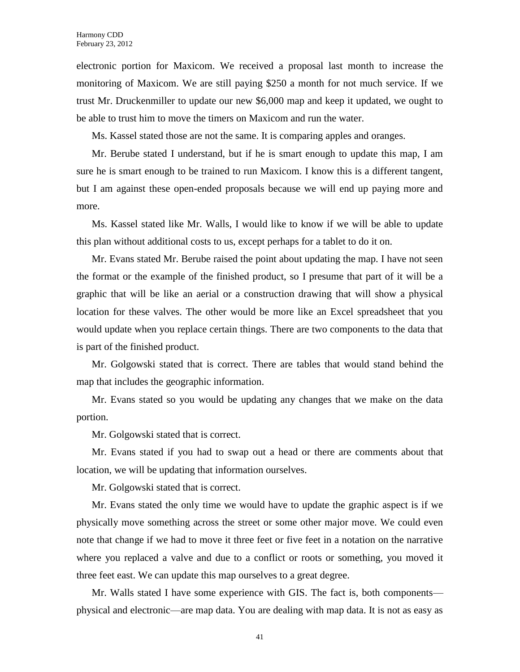electronic portion for Maxicom. We received a proposal last month to increase the monitoring of Maxicom. We are still paying \$250 a month for not much service. If we trust Mr. Druckenmiller to update our new \$6,000 map and keep it updated, we ought to be able to trust him to move the timers on Maxicom and run the water.

Ms. Kassel stated those are not the same. It is comparing apples and oranges.

Mr. Berube stated I understand, but if he is smart enough to update this map, I am sure he is smart enough to be trained to run Maxicom. I know this is a different tangent, but I am against these open-ended proposals because we will end up paying more and more.

Ms. Kassel stated like Mr. Walls, I would like to know if we will be able to update this plan without additional costs to us, except perhaps for a tablet to do it on.

Mr. Evans stated Mr. Berube raised the point about updating the map. I have not seen the format or the example of the finished product, so I presume that part of it will be a graphic that will be like an aerial or a construction drawing that will show a physical location for these valves. The other would be more like an Excel spreadsheet that you would update when you replace certain things. There are two components to the data that is part of the finished product.

Mr. Golgowski stated that is correct. There are tables that would stand behind the map that includes the geographic information.

Mr. Evans stated so you would be updating any changes that we make on the data portion.

Mr. Golgowski stated that is correct.

Mr. Evans stated if you had to swap out a head or there are comments about that location, we will be updating that information ourselves.

Mr. Golgowski stated that is correct.

Mr. Evans stated the only time we would have to update the graphic aspect is if we physically move something across the street or some other major move. We could even note that change if we had to move it three feet or five feet in a notation on the narrative where you replaced a valve and due to a conflict or roots or something, you moved it three feet east. We can update this map ourselves to a great degree.

Mr. Walls stated I have some experience with GIS. The fact is, both components physical and electronic—are map data. You are dealing with map data. It is not as easy as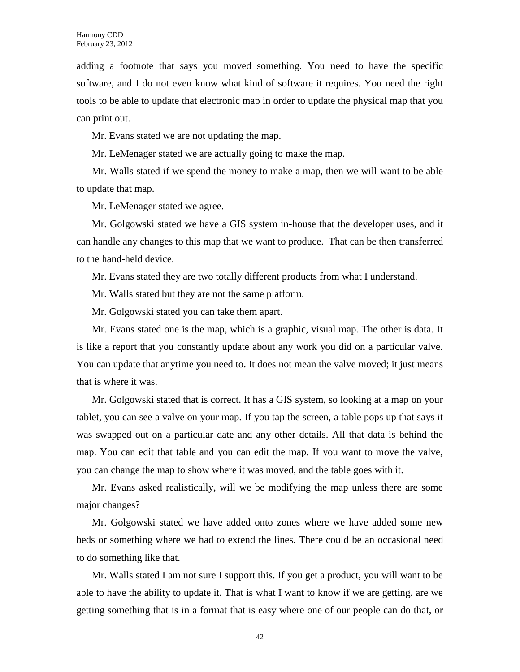adding a footnote that says you moved something. You need to have the specific software, and I do not even know what kind of software it requires. You need the right tools to be able to update that electronic map in order to update the physical map that you can print out.

Mr. Evans stated we are not updating the map.

Mr. LeMenager stated we are actually going to make the map.

Mr. Walls stated if we spend the money to make a map, then we will want to be able to update that map.

Mr. LeMenager stated we agree.

Mr. Golgowski stated we have a GIS system in-house that the developer uses, and it can handle any changes to this map that we want to produce. That can be then transferred to the hand-held device.

Mr. Evans stated they are two totally different products from what I understand.

Mr. Walls stated but they are not the same platform.

Mr. Golgowski stated you can take them apart.

Mr. Evans stated one is the map, which is a graphic, visual map. The other is data. It is like a report that you constantly update about any work you did on a particular valve. You can update that anytime you need to. It does not mean the valve moved; it just means that is where it was.

Mr. Golgowski stated that is correct. It has a GIS system, so looking at a map on your tablet, you can see a valve on your map. If you tap the screen, a table pops up that says it was swapped out on a particular date and any other details. All that data is behind the map. You can edit that table and you can edit the map. If you want to move the valve, you can change the map to show where it was moved, and the table goes with it.

Mr. Evans asked realistically, will we be modifying the map unless there are some major changes?

Mr. Golgowski stated we have added onto zones where we have added some new beds or something where we had to extend the lines. There could be an occasional need to do something like that.

Mr. Walls stated I am not sure I support this. If you get a product, you will want to be able to have the ability to update it. That is what I want to know if we are getting. are we getting something that is in a format that is easy where one of our people can do that, or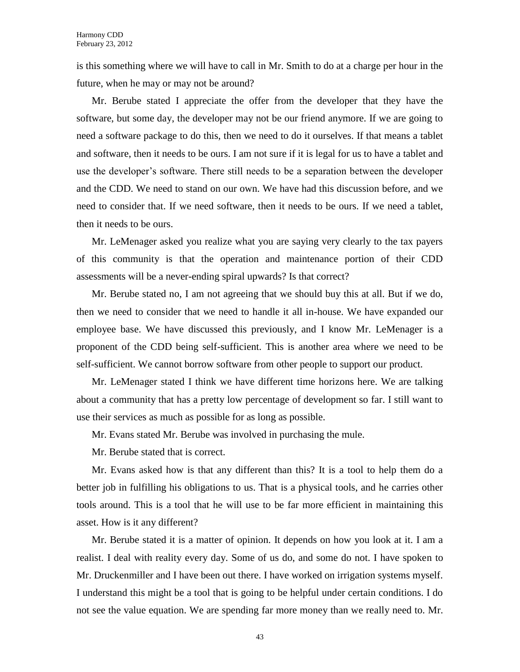is this something where we will have to call in Mr. Smith to do at a charge per hour in the future, when he may or may not be around?

Mr. Berube stated I appreciate the offer from the developer that they have the software, but some day, the developer may not be our friend anymore. If we are going to need a software package to do this, then we need to do it ourselves. If that means a tablet and software, then it needs to be ours. I am not sure if it is legal for us to have a tablet and use the developer's software. There still needs to be a separation between the developer and the CDD. We need to stand on our own. We have had this discussion before, and we need to consider that. If we need software, then it needs to be ours. If we need a tablet, then it needs to be ours.

Mr. LeMenager asked you realize what you are saying very clearly to the tax payers of this community is that the operation and maintenance portion of their CDD assessments will be a never-ending spiral upwards? Is that correct?

Mr. Berube stated no, I am not agreeing that we should buy this at all. But if we do, then we need to consider that we need to handle it all in-house. We have expanded our employee base. We have discussed this previously, and I know Mr. LeMenager is a proponent of the CDD being self-sufficient. This is another area where we need to be self-sufficient. We cannot borrow software from other people to support our product.

Mr. LeMenager stated I think we have different time horizons here. We are talking about a community that has a pretty low percentage of development so far. I still want to use their services as much as possible for as long as possible.

Mr. Evans stated Mr. Berube was involved in purchasing the mule.

Mr. Berube stated that is correct.

Mr. Evans asked how is that any different than this? It is a tool to help them do a better job in fulfilling his obligations to us. That is a physical tools, and he carries other tools around. This is a tool that he will use to be far more efficient in maintaining this asset. How is it any different?

Mr. Berube stated it is a matter of opinion. It depends on how you look at it. I am a realist. I deal with reality every day. Some of us do, and some do not. I have spoken to Mr. Druckenmiller and I have been out there. I have worked on irrigation systems myself. I understand this might be a tool that is going to be helpful under certain conditions. I do not see the value equation. We are spending far more money than we really need to. Mr.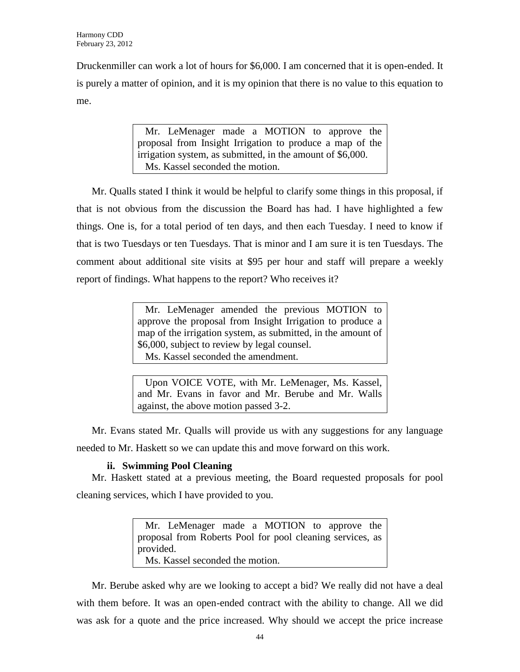Druckenmiller can work a lot of hours for \$6,000. I am concerned that it is open-ended. It is purely a matter of opinion, and it is my opinion that there is no value to this equation to me.

> Mr. LeMenager made a MOTION to approve the proposal from Insight Irrigation to produce a map of the irrigation system, as submitted, in the amount of \$6,000. Ms. Kassel seconded the motion.

Mr. Qualls stated I think it would be helpful to clarify some things in this proposal, if that is not obvious from the discussion the Board has had. I have highlighted a few things. One is, for a total period of ten days, and then each Tuesday. I need to know if that is two Tuesdays or ten Tuesdays. That is minor and I am sure it is ten Tuesdays. The comment about additional site visits at \$95 per hour and staff will prepare a weekly report of findings. What happens to the report? Who receives it?

> Mr. LeMenager amended the previous MOTION to approve the proposal from Insight Irrigation to produce a map of the irrigation system, as submitted, in the amount of \$6,000, subject to review by legal counsel. Ms. Kassel seconded the amendment.

> Upon VOICE VOTE, with Mr. LeMenager, Ms. Kassel, and Mr. Evans in favor and Mr. Berube and Mr. Walls against, the above motion passed 3-2.

Mr. Evans stated Mr. Qualls will provide us with any suggestions for any language needed to Mr. Haskett so we can update this and move forward on this work.

## **ii. Swimming Pool Cleaning**

Mr. Haskett stated at a previous meeting, the Board requested proposals for pool cleaning services, which I have provided to you.

> Mr. LeMenager made a MOTION to approve the proposal from Roberts Pool for pool cleaning services, as provided. Ms. Kassel seconded the motion.

Mr. Berube asked why are we looking to accept a bid? We really did not have a deal with them before. It was an open-ended contract with the ability to change. All we did was ask for a quote and the price increased. Why should we accept the price increase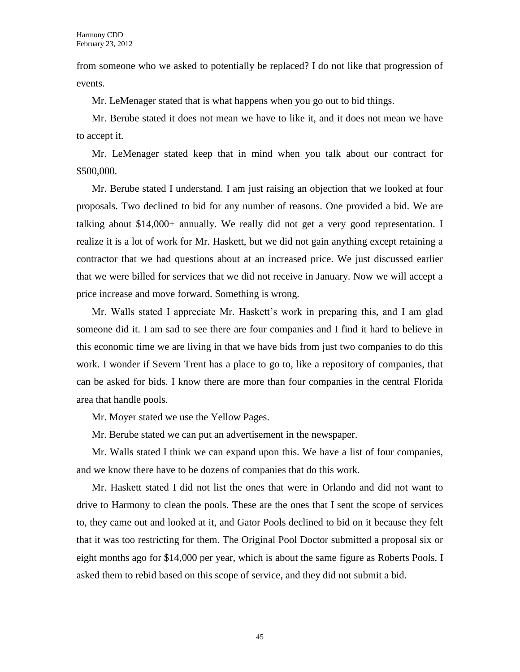from someone who we asked to potentially be replaced? I do not like that progression of events.

Mr. LeMenager stated that is what happens when you go out to bid things.

Mr. Berube stated it does not mean we have to like it, and it does not mean we have to accept it.

Mr. LeMenager stated keep that in mind when you talk about our contract for \$500,000.

Mr. Berube stated I understand. I am just raising an objection that we looked at four proposals. Two declined to bid for any number of reasons. One provided a bid. We are talking about \$14,000+ annually. We really did not get a very good representation. I realize it is a lot of work for Mr. Haskett, but we did not gain anything except retaining a contractor that we had questions about at an increased price. We just discussed earlier that we were billed for services that we did not receive in January. Now we will accept a price increase and move forward. Something is wrong.

Mr. Walls stated I appreciate Mr. Haskett's work in preparing this, and I am glad someone did it. I am sad to see there are four companies and I find it hard to believe in this economic time we are living in that we have bids from just two companies to do this work. I wonder if Severn Trent has a place to go to, like a repository of companies, that can be asked for bids. I know there are more than four companies in the central Florida area that handle pools.

Mr. Moyer stated we use the Yellow Pages.

Mr. Berube stated we can put an advertisement in the newspaper.

Mr. Walls stated I think we can expand upon this. We have a list of four companies, and we know there have to be dozens of companies that do this work.

Mr. Haskett stated I did not list the ones that were in Orlando and did not want to drive to Harmony to clean the pools. These are the ones that I sent the scope of services to, they came out and looked at it, and Gator Pools declined to bid on it because they felt that it was too restricting for them. The Original Pool Doctor submitted a proposal six or eight months ago for \$14,000 per year, which is about the same figure as Roberts Pools. I asked them to rebid based on this scope of service, and they did not submit a bid.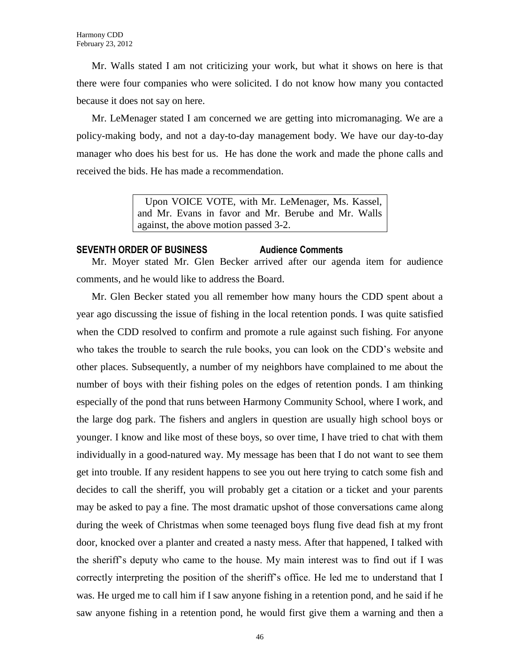Mr. Walls stated I am not criticizing your work, but what it shows on here is that there were four companies who were solicited. I do not know how many you contacted because it does not say on here.

Mr. LeMenager stated I am concerned we are getting into micromanaging. We are a policy-making body, and not a day-to-day management body. We have our day-to-day manager who does his best for us. He has done the work and made the phone calls and received the bids. He has made a recommendation.

> Upon VOICE VOTE, with Mr. LeMenager, Ms. Kassel, and Mr. Evans in favor and Mr. Berube and Mr. Walls against, the above motion passed 3-2.

### **SEVENTH ORDER OF BUSINESS Audience Comments**

Mr. Moyer stated Mr. Glen Becker arrived after our agenda item for audience comments, and he would like to address the Board.

Mr. Glen Becker stated you all remember how many hours the CDD spent about a year ago discussing the issue of fishing in the local retention ponds. I was quite satisfied when the CDD resolved to confirm and promote a rule against such fishing. For anyone who takes the trouble to search the rule books, you can look on the CDD's website and other places. Subsequently, a number of my neighbors have complained to me about the number of boys with their fishing poles on the edges of retention ponds. I am thinking especially of the pond that runs between Harmony Community School, where I work, and the large dog park. The fishers and anglers in question are usually high school boys or younger. I know and like most of these boys, so over time, I have tried to chat with them individually in a good-natured way. My message has been that I do not want to see them get into trouble. If any resident happens to see you out here trying to catch some fish and decides to call the sheriff, you will probably get a citation or a ticket and your parents may be asked to pay a fine. The most dramatic upshot of those conversations came along during the week of Christmas when some teenaged boys flung five dead fish at my front door, knocked over a planter and created a nasty mess. After that happened, I talked with the sheriff's deputy who came to the house. My main interest was to find out if I was correctly interpreting the position of the sheriff's office. He led me to understand that I was. He urged me to call him if I saw anyone fishing in a retention pond, and he said if he saw anyone fishing in a retention pond, he would first give them a warning and then a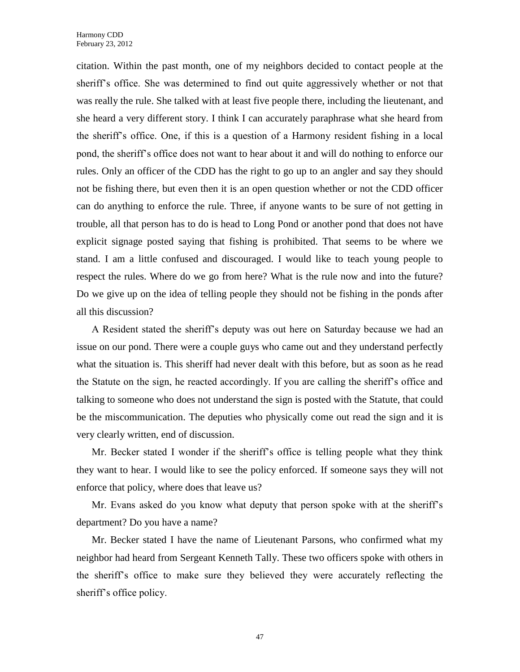citation. Within the past month, one of my neighbors decided to contact people at the sheriff's office. She was determined to find out quite aggressively whether or not that was really the rule. She talked with at least five people there, including the lieutenant, and she heard a very different story. I think I can accurately paraphrase what she heard from the sheriff's office. One, if this is a question of a Harmony resident fishing in a local pond, the sheriff's office does not want to hear about it and will do nothing to enforce our rules. Only an officer of the CDD has the right to go up to an angler and say they should not be fishing there, but even then it is an open question whether or not the CDD officer can do anything to enforce the rule. Three, if anyone wants to be sure of not getting in trouble, all that person has to do is head to Long Pond or another pond that does not have explicit signage posted saying that fishing is prohibited. That seems to be where we stand. I am a little confused and discouraged. I would like to teach young people to respect the rules. Where do we go from here? What is the rule now and into the future? Do we give up on the idea of telling people they should not be fishing in the ponds after all this discussion?

A Resident stated the sheriff's deputy was out here on Saturday because we had an issue on our pond. There were a couple guys who came out and they understand perfectly what the situation is. This sheriff had never dealt with this before, but as soon as he read the Statute on the sign, he reacted accordingly. If you are calling the sheriff's office and talking to someone who does not understand the sign is posted with the Statute, that could be the miscommunication. The deputies who physically come out read the sign and it is very clearly written, end of discussion.

Mr. Becker stated I wonder if the sheriff's office is telling people what they think they want to hear. I would like to see the policy enforced. If someone says they will not enforce that policy, where does that leave us?

Mr. Evans asked do you know what deputy that person spoke with at the sheriff's department? Do you have a name?

Mr. Becker stated I have the name of Lieutenant Parsons, who confirmed what my neighbor had heard from Sergeant Kenneth Tally. These two officers spoke with others in the sheriff's office to make sure they believed they were accurately reflecting the sheriff's office policy.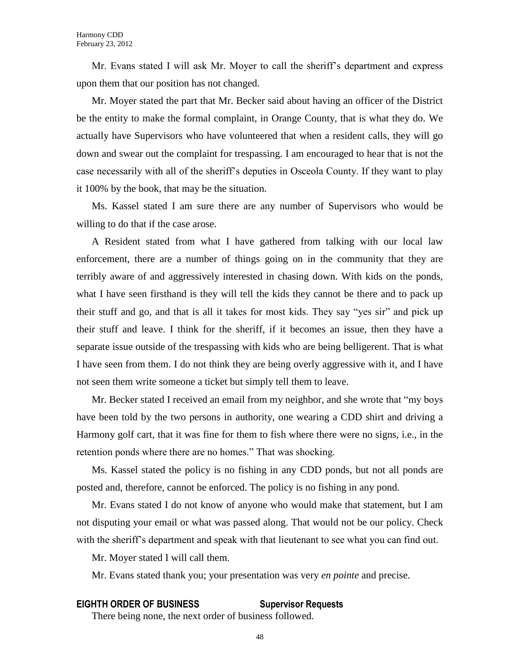Mr. Evans stated I will ask Mr. Moyer to call the sheriff's department and express upon them that our position has not changed.

Mr. Moyer stated the part that Mr. Becker said about having an officer of the District be the entity to make the formal complaint, in Orange County, that is what they do. We actually have Supervisors who have volunteered that when a resident calls, they will go down and swear out the complaint for trespassing. I am encouraged to hear that is not the case necessarily with all of the sheriff's deputies in Osceola County. If they want to play it 100% by the book, that may be the situation.

Ms. Kassel stated I am sure there are any number of Supervisors who would be willing to do that if the case arose.

A Resident stated from what I have gathered from talking with our local law enforcement, there are a number of things going on in the community that they are terribly aware of and aggressively interested in chasing down. With kids on the ponds, what I have seen firsthand is they will tell the kids they cannot be there and to pack up their stuff and go, and that is all it takes for most kids. They say "yes sir" and pick up their stuff and leave. I think for the sheriff, if it becomes an issue, then they have a separate issue outside of the trespassing with kids who are being belligerent. That is what I have seen from them. I do not think they are being overly aggressive with it, and I have not seen them write someone a ticket but simply tell them to leave.

Mr. Becker stated I received an email from my neighbor, and she wrote that "my boys have been told by the two persons in authority, one wearing a CDD shirt and driving a Harmony golf cart, that it was fine for them to fish where there were no signs, i.e., in the retention ponds where there are no homes." That was shocking.

Ms. Kassel stated the policy is no fishing in any CDD ponds, but not all ponds are posted and, therefore, cannot be enforced. The policy is no fishing in any pond.

Mr. Evans stated I do not know of anyone who would make that statement, but I am not disputing your email or what was passed along. That would not be our policy. Check with the sheriff's department and speak with that lieutenant to see what you can find out.

Mr. Moyer stated I will call them.

Mr. Evans stated thank you; your presentation was very *en pointe* and precise.

### **EIGHTH ORDER OF BUSINESS Supervisor Requests**

There being none, the next order of business followed.